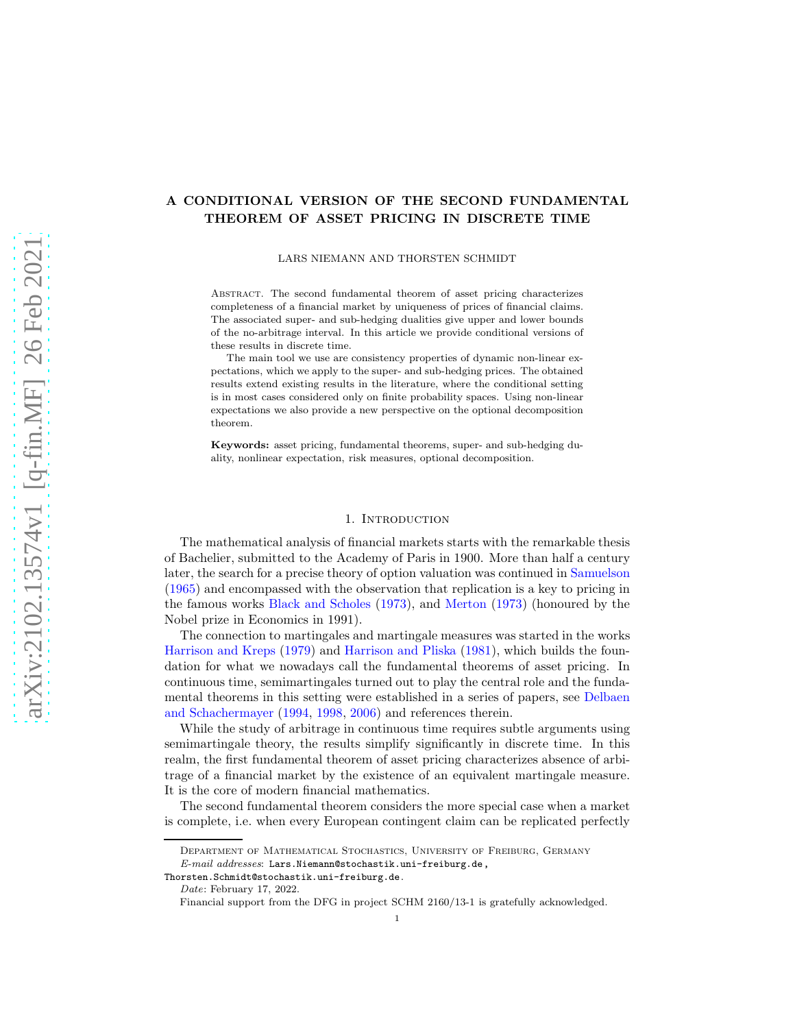# A CONDITIONAL VERSION OF THE SECOND FUNDAMENTAL THEOREM OF ASSET PRICING IN DISCRETE TIME

LARS NIEMANN AND THORSTEN SCHMIDT

Abstract. The second fundamental theorem of asset pricing characterizes completeness of a financial market by uniqueness of prices of financial claims. The associated super- and sub-hedging dualities give upper and lower bounds of the no-arbitrage interval. In this article we provide conditional versions of these results in discrete time.

The main tool we use are consistency properties of dynamic non-linear expectations, which we apply to the super- and sub-hedging prices. The obtained results extend existing results in the literature, where the conditional setting is in most cases considered only on finite probability spaces. Using non-linear expectations we also provide a new perspective on the optional decomposition theorem.

Keywords: asset pricing, fundamental theorems, super- and sub-hedging duality, nonlinear expectation, risk measures, optional decomposition.

### 1. Introduction

The mathematical analysis of financial markets starts with the remarkable thesis of Bachelier, submitted to the Academy of Paris in 1900. More than half a century later, the search for a precise theory of option valuation was continued in [Samuelson](#page-24-0) [\(1965\)](#page-24-0) and encompassed with the observation that replication is a key to pricing in the famous works [Black and Scholes](#page-23-0) [\(1973](#page-23-0)), and [Merton](#page-24-1) [\(1973](#page-24-1)) (honoured by the Nobel prize in Economics in 1991).

The connection to martingales and martingale measures was started in the works [Harrison and Kreps](#page-24-2) [\(1979](#page-24-2)) and [Harrison and Pliska](#page-24-3) [\(1981\)](#page-24-3), which builds the foundation for what we nowadays call the fundamental theorems of asset pricing. In continuous time, semimartingales turned out to play the central role and the fundamental theorems in [this setting were established in a series of papers, see](#page-23-1) Delbaen and Schachermayer [\(1994,](#page-23-1) [1998](#page-23-2), [2006\)](#page-24-4) and references therein.

While the study of arbitrage in continuous time requires subtle arguments using semimartingale theory, the results simplify significantly in discrete time. In this realm, the first fundamental theorem of asset pricing characterizes absence of arbitrage of a financial market by the existence of an equivalent martingale measure. It is the core of modern financial mathematics.

The second fundamental theorem considers the more special case when a market is complete, i.e. when every European contingent claim can be replicated perfectly

Department of Mathematical Stochastics, University of Freiburg, Germany  $E\text{-}mail\;addresses: \texttt{Lars.Niemann@stochastick.uni-freeiburg.de}$ ,

Thorsten.Schmidt@stochastik.uni-freiburg.de.

Date: February 17, 2022.

Financial support from the DFG in project SCHM 2160/13-1 is gratefully acknowledged.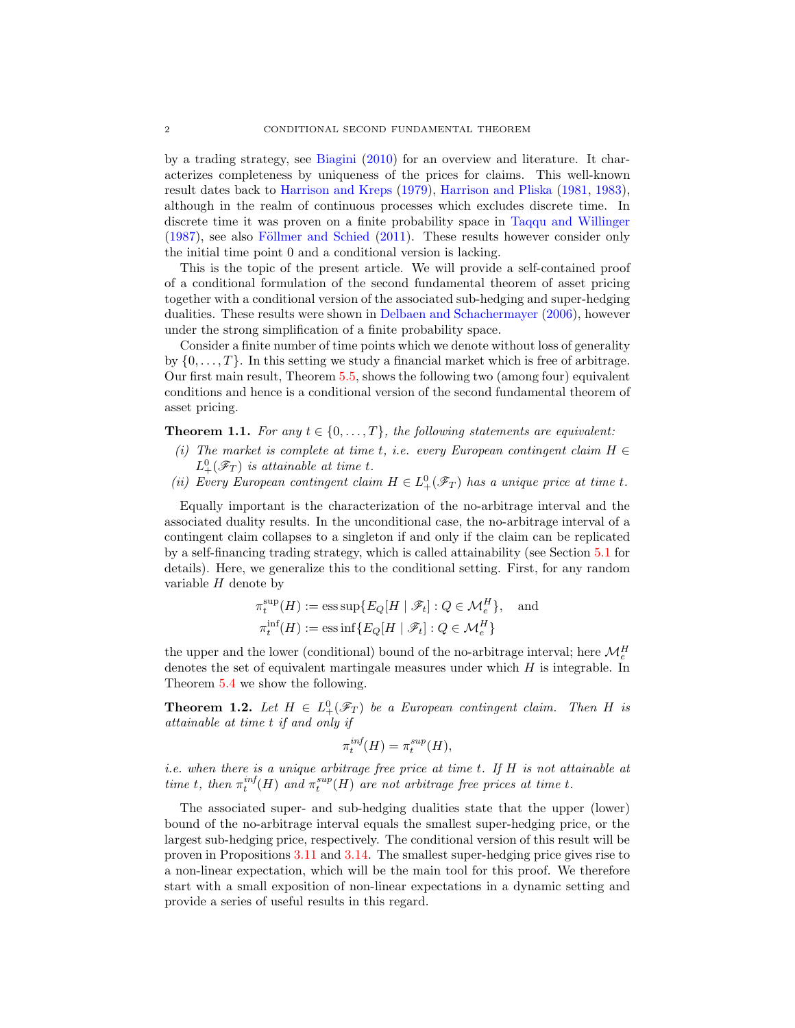by a trading strategy, see [Biagini](#page-23-3) [\(2010\)](#page-23-3) for an overview and literature. It characterizes completeness by uniqueness of the prices for claims. This well-known result dates back to [Harrison and Kreps](#page-24-2) [\(1979](#page-24-2)), [Harrison and Pliska](#page-24-3) [\(1981,](#page-24-3) [1983\)](#page-24-5), although in the realm of continuous processes which excludes discrete time. In discrete time it was proven on a finite probability space in [Taqqu and Willinger](#page-24-6)  $(1987)$ , see also Föllmer and Schied  $(2011)$ . These results however consider only the initial time point 0 and a conditional version is lacking.

This is the topic of the present article. We will provide a self-contained proof of a conditional formulation of the second fundamental theorem of asset pricing together with a conditional version of the associated sub-hedging and super-hedging dualities. These results were shown in [Delbaen and Schachermayer](#page-24-4) [\(2006](#page-24-4)), however under the strong simplification of a finite probability space.

Consider a finite number of time points which we denote without loss of generality by  $\{0, \ldots, T\}$ . In this setting we study a financial market which is free of arbitrage. Our first main result, Theorem [5.5,](#page-18-0) shows the following two (among four) equivalent conditions and hence is a conditional version of the second fundamental theorem of asset pricing.

**Theorem 1.1.** *For any*  $t \in \{0, \ldots, T\}$ *, the following statements are equivalent:* 

- *(i) The market is complete at time* t*, i.e. every European contingent claim* H ∈  $L_+^0(\mathscr{F}_T)$  *is attainable at time t.*
- *(ii)* Every European contingent claim  $H \in L^0_+(\mathscr{F}_T)$  has a unique price at time t.

Equally important is the characterization of the no-arbitrage interval and the associated duality results. In the unconditional case, the no-arbitrage interval of a contingent claim collapses to a singleton if and only if the claim can be replicated by a self-financing trading strategy, which is called attainability (see Section [5.1](#page-17-0) for details). Here, we generalize this to the conditional setting. First, for any random variable  $H$  denote by

$$
\pi_t^{\text{sup}}(H) := \text{ess sup}\{E_Q[H \mid \mathscr{F}_t] : Q \in \mathcal{M}_e^H\}, \text{ and}
$$

$$
\pi_t^{\text{inf}}(H) := \text{ess inf}\{E_Q[H \mid \mathscr{F}_t] : Q \in \mathcal{M}_e^H\}
$$

the upper and the lower (conditional) bound of the no-arbitrage interval; here  $\mathcal{M}_{e}^{H}$ denotes the set of equivalent martingale measures under which  $H$  is integrable. In Theorem [5.4](#page-18-1) we show the following.

**Theorem 1.2.** Let  $H \in L^0_+(\mathscr{F}_T)$  be a European contingent claim. Then H is *attainable at time* t *if and only if*

$$
\pi_t^{inf}(H) = \pi_t^{sup}(H),
$$

*i.e. when there is a unique arbitrage free price at time* t*. If* H *is not attainable at time t*, *then*  $\pi_t^{inf}(H)$  *and*  $\pi_t^{sup}(H)$  *are not arbitrage free prices at time t*.

The associated super- and sub-hedging dualities state that the upper (lower) bound of the no-arbitrage interval equals the smallest super-hedging price, or the largest sub-hedging price, respectively. The conditional version of this result will be proven in Propositions [3.11](#page-11-0) and [3.14.](#page-12-0) The smallest super-hedging price gives rise to a non-linear expectation, which will be the main tool for this proof. We therefore start with a small exposition of non-linear expectations in a dynamic setting and provide a series of useful results in this regard.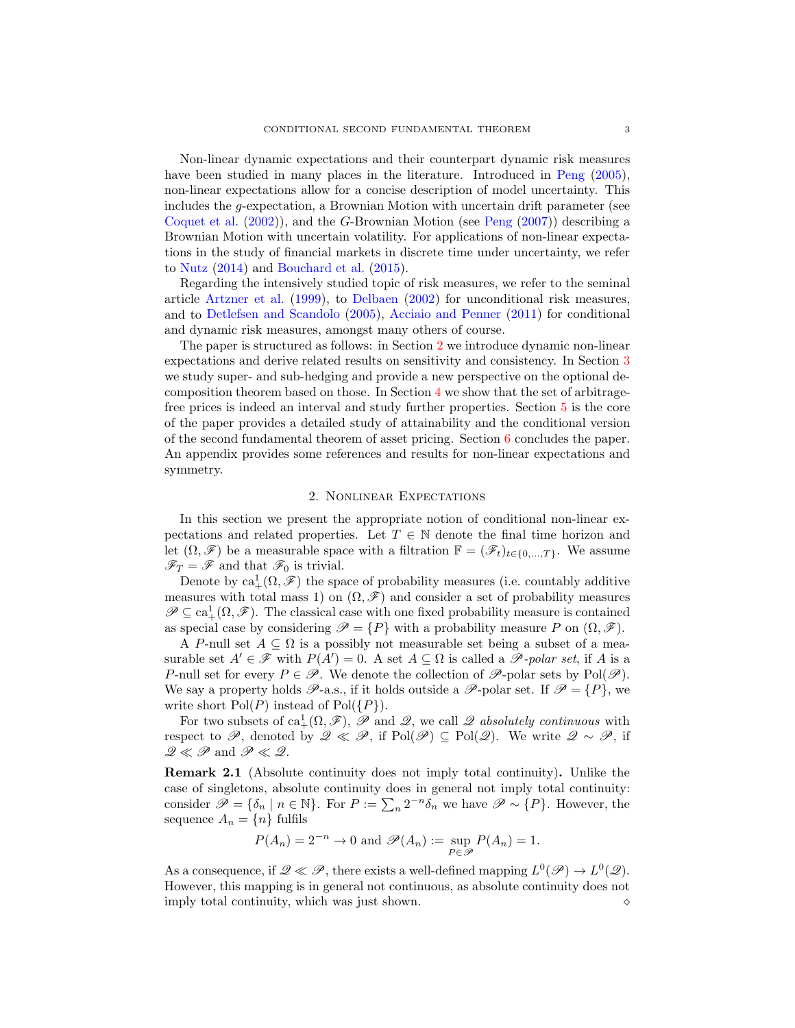Non-linear dynamic expectations and their counterpart dynamic risk measures have been studied in many places in the literature. Introduced in [Peng](#page-24-8) [\(2005\)](#page-24-8), non-linear expectations allow for a concise description of model uncertainty. This includes the g-expectation, a Brownian Motion with uncertain drift parameter (see [Coquet et al.](#page-23-4) [\(2002](#page-23-4))), and the G-Brownian Motion (see [Peng](#page-24-9) [\(2007](#page-24-9))) describing a Brownian Motion with uncertain volatility. For applications of non-linear expectations in the study of financial markets in discrete time under uncertainty, we refer to [Nutz](#page-24-10) [\(2014](#page-24-10)) and [Bouchard et al.](#page-23-5) [\(2015](#page-23-5)).

Regarding the intensively studied topic of risk measures, we refer to the seminal article [Artzner et al.](#page-23-6) [\(1999](#page-23-6)), to [Delbaen](#page-23-7) [\(2002](#page-23-7)) for unconditional risk measures, and to [Detlefsen and Scandolo](#page-24-11) [\(2005\)](#page-24-11), [Acciaio and Penner](#page-23-8) [\(2011\)](#page-23-8) for conditional and dynamic risk measures, amongst many others of course.

The paper is structured as follows: in Section [2](#page-2-0) we introduce dynamic non-linear expectations and derive related results on sensitivity and consistency. In Section [3](#page-6-0) we study super- and sub-hedging and provide a new perspective on the optional decomposition theorem based on those. In Section [4](#page-13-0) we show that the set of arbitragefree prices is indeed an interval and study further properties. Section [5](#page-17-1) is the core of the paper provides a detailed study of attainability and the conditional version of the second fundamental theorem of asset pricing. Section [6](#page-21-0) concludes the paper. An appendix provides some references and results for non-linear expectations and symmetry.

#### 2. Nonlinear Expectations

<span id="page-2-0"></span>In this section we present the appropriate notion of conditional non-linear expectations and related properties. Let  $T \in \mathbb{N}$  denote the final time horizon and let  $(\Omega, \mathscr{F})$  be a measurable space with a filtration  $\mathbb{F} = (\mathscr{F}_t)_{t \in \{0,\ldots,T\}}$ . We assume  $\mathscr{F}_T = \mathscr{F}$  and that  $\mathscr{F}_0$  is trivial.

Denote by  $\text{ca}_+^1(\Omega,\mathscr{F})$  the space of probability measures (i.e. countably additive measures with total mass 1) on  $(\Omega, \mathscr{F})$  and consider a set of probability measures  $\mathscr{P} \subseteq \text{ca}_+^1(\Omega, \mathscr{F})$ . The classical case with one fixed probability measure is contained as special case by considering  $\mathscr{P} = \{P\}$  with a probability measure P on  $(\Omega, \mathscr{F})$ .

A P-null set  $A \subseteq \Omega$  is a possibly not measurable set being a subset of a measurable set  $A' \in \mathscr{F}$  with  $P(A') = 0$ . A set  $A \subseteq \Omega$  is called a  $\mathscr{P}\text{-}polar set$ , if A is a P-null set for every  $P \in \mathscr{P}$ . We denote the collection of  $\mathscr{P}$ -polar sets by Pol $(\mathscr{P})$ . We say a property holds  $\mathscr{P}$ -a.s., if it holds outside a  $\mathscr{P}$ -polar set. If  $\mathscr{P} = \{P\}$ , we write short  $Pol(P)$  instead of  $Pol({P})$ .

For two subsets of  $ca^1_+(\Omega, \mathscr{F})$ ,  $\mathscr{P}$  and  $\mathscr{Q}$ , we call  $\mathscr{Q}$  absolutely continuous with respect to P, denoted by  $\mathscr{Q} \ll \mathscr{P}$ , if  $Pol(\mathscr{P}) \subset Pol(\mathscr{Q})$ . We write  $\mathscr{Q} \sim \mathscr{P}$ , if  $\mathscr{Q} \ll \mathscr{P}$  and  $\mathscr{P} \ll \mathscr{Q}$ .

Remark 2.1 (Absolute continuity does not imply total continuity). Unlike the case of singletons, absolute continuity does in general not imply total continuity: consider  $\mathscr{P} = \{\delta_n \mid n \in \mathbb{N}\}\.$  For  $P := \sum_n 2^{-n} \delta_n$  we have  $\mathscr{P} \sim \{P\}.$  However, the sequence  $A_n = \{n\}$  fulfils

$$
P(A_n) = 2^{-n} \to 0
$$
 and  $\mathcal{P}(A_n) := \sup_{P \in \mathcal{P}} P(A_n) = 1$ .

As a consequence, if  $\mathscr{Q} \ll \mathscr{P}$ , there exists a well-defined mapping  $L^0(\mathscr{P}) \to L^0(\mathscr{Q})$ . However, this mapping is in general not continuous, as absolute continuity does not imply total continuity, which was just shown.  $\Diamond$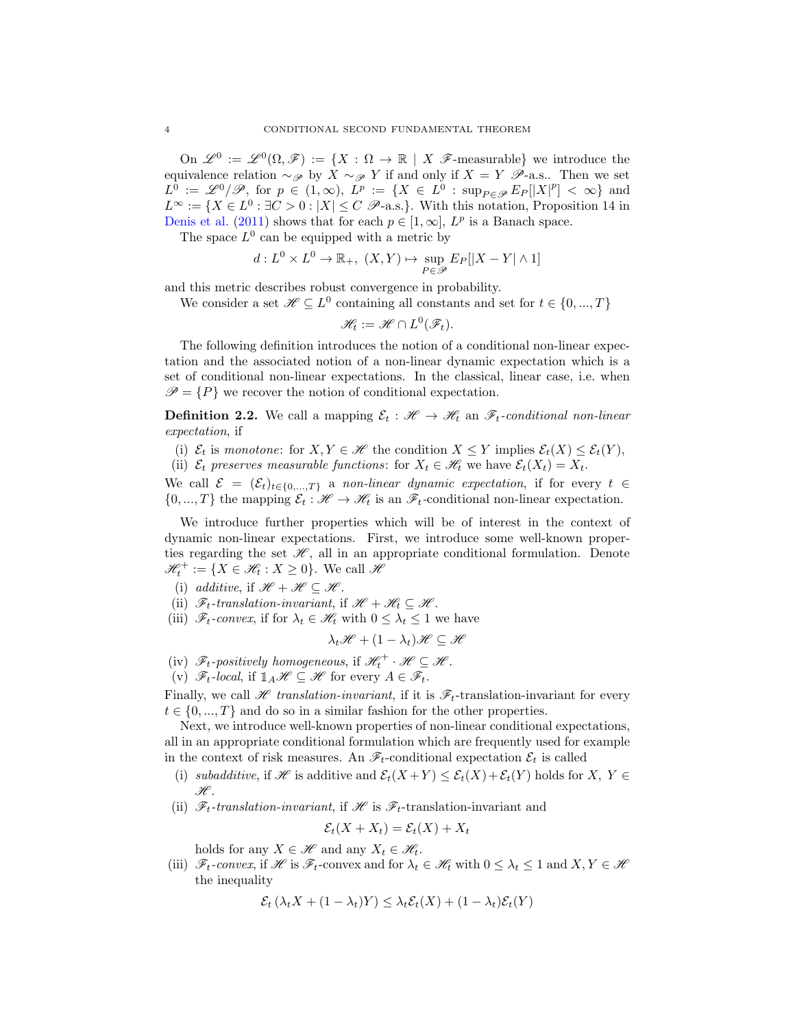On  $\mathscr{L}^0 := \mathscr{L}^0(\Omega, \mathscr{F}) := \{ X : \Omega \to \mathbb{R} \mid X \mathscr{F}\text{-measurable} \}$  we introduce the equivalence relation  $\sim_{\mathscr{P}}$  by  $\hat{X} \sim_{\mathscr{P}} Y$  if and only if  $X = Y \mathscr{P}$ -a.s.. Then we set  $L^{\hat{0}} := \mathscr{L}^0/\mathscr{P}, \text{ for } p \in (1,\infty), \ L^p := \{ X \in L^{\hat{0}} : \text{sup}_{P \in \mathscr{P}} E_P[|X|^p] < \infty \}$  and  $L^{\infty} := \{ X \in L^{0} : \exists C > 0 : |X| \leq C \ \mathscr{P}$ -a.s.}. With this notation, Proposition 14 in [Denis et al.](#page-24-12) [\(2011\)](#page-24-12) shows that for each  $p \in [1, \infty]$ ,  $L^p$  is a Banach space.

The space  $L^0$  can be equipped with a metric by

$$
d: L^0 \times L^0 \to \mathbb{R}_+, (X, Y) \mapsto \sup_{P \in \mathscr{P}} E_P[|X - Y| \wedge 1]
$$

and this metric describes robust convergence in probability.

We consider a set  $\mathscr{H} \subseteq L^0$  containing all constants and set for  $t \in \{0, ..., T\}$ 

$$
\mathscr{H}_t := \mathscr{H} \cap L^0(\mathscr{F}_t).
$$

The following definition introduces the notion of a conditional non-linear expectation and the associated notion of a non-linear dynamic expectation which is a set of conditional non-linear expectations. In the classical, linear case, i.e. when  $\mathscr{P} = \{P\}$  we recover the notion of conditional expectation.

**Definition 2.2.** We call a mapping  $\mathcal{E}_t : \mathcal{H} \to \mathcal{H}_t$  an  $\mathcal{F}_t$ -conditional non-linear *expectation*, if

(i)  $\mathcal{E}_t$  is *monotone*: for  $X, Y \in \mathcal{H}$  the condition  $X \leq Y$  implies  $\mathcal{E}_t(X) \leq \mathcal{E}_t(Y)$ ,

(ii)  $\mathcal{E}_t$  preserves measurable functions: for  $X_t \in \mathcal{H}_t$  we have  $\mathcal{E}_t(X_t) = X_t$ .

We call  $\mathcal{E} = (\mathcal{E}_t)_{t \in \{0,\ldots,T\}}$  a *non-linear dynamic expectation*, if for every  $t \in$  $\{0, ..., T\}$  the mapping  $\mathcal{E}_t : \mathcal{H} \to \mathcal{H}_t$  is an  $\mathcal{F}_t$ -conditional non-linear expectation.

We introduce further properties which will be of interest in the context of dynamic non-linear expectations. First, we introduce some well-known properties regarding the set  $\mathcal{H}$ , all in an appropriate conditional formulation. Denote  $\mathscr{H}_t^+ := \{ X \in \mathscr{H}_t : X \geq 0 \}.$  We call  $\mathscr{H}_t$ 

- (i) *additive*, if  $\mathcal{H} + \mathcal{H} \subseteq \mathcal{H}$ .
- (ii)  $\mathscr{F}_t$ -translation-invariant, if  $\mathscr{H} + \mathscr{H}_t \subseteq \mathscr{H}$ .
- (iii)  $\mathscr{F}_t$ -convex, if for  $\lambda_t \in \mathscr{H}_t$  with  $0 \leq \lambda_t \leq 1$  we have

$$
\lambda_t \mathscr{H} + (1-\lambda_t) \mathscr{H} \subseteq \mathscr{H}
$$

- (iv)  $\mathscr{F}_t$ -positively homogeneous, if  $\mathscr{H}_t^+ \cdot \mathscr{H} \subseteq \mathscr{H}$ .
- (v)  $\mathscr{F}_t$ -local, if  $\mathbb{1}_A\mathscr{H} \subseteq \mathscr{H}$  for every  $A \in \mathscr{F}_t$ .

Finally, we call  $\mathscr H$  translation-invariant, if it is  $\mathscr F_t$ -translation-invariant for every  $t \in \{0, ..., T\}$  and do so in a similar fashion for the other properties.

Next, we introduce well-known properties of non-linear conditional expectations, all in an appropriate conditional formulation which are frequently used for example in the context of risk measures. An  $\mathscr{F}_t$ -conditional expectation  $\mathcal{E}_t$  is called

- (i) *subadditive*, if H is additive and  $\mathcal{E}_t(X+Y) \leq \mathcal{E}_t(X) + \mathcal{E}_t(Y)$  holds for  $X, Y \in$  $\mathscr{H}.$
- (ii)  $\mathscr{F}_t$ -translation-invariant, if  $\mathscr{H}$  is  $\mathscr{F}_t$ -translation-invariant and

$$
\mathcal{E}_t(X + X_t) = \mathcal{E}_t(X) + X_t
$$

holds for any  $X \in \mathcal{H}$  and any  $X_t \in \mathcal{H}_t$ .

(iii)  $\mathscr{F}_t$ -convex, if  $\mathscr{H}$  is  $\mathscr{F}_t$ -convex and for  $\lambda_t \in \mathscr{H}_t$  with  $0 \leq \lambda_t \leq 1$  and  $X, Y \in \mathscr{H}$ the inequality

$$
\mathcal{E}_t(\lambda_t X + (1 - \lambda_t)Y) \leq \lambda_t \mathcal{E}_t(X) + (1 - \lambda_t) \mathcal{E}_t(Y)
$$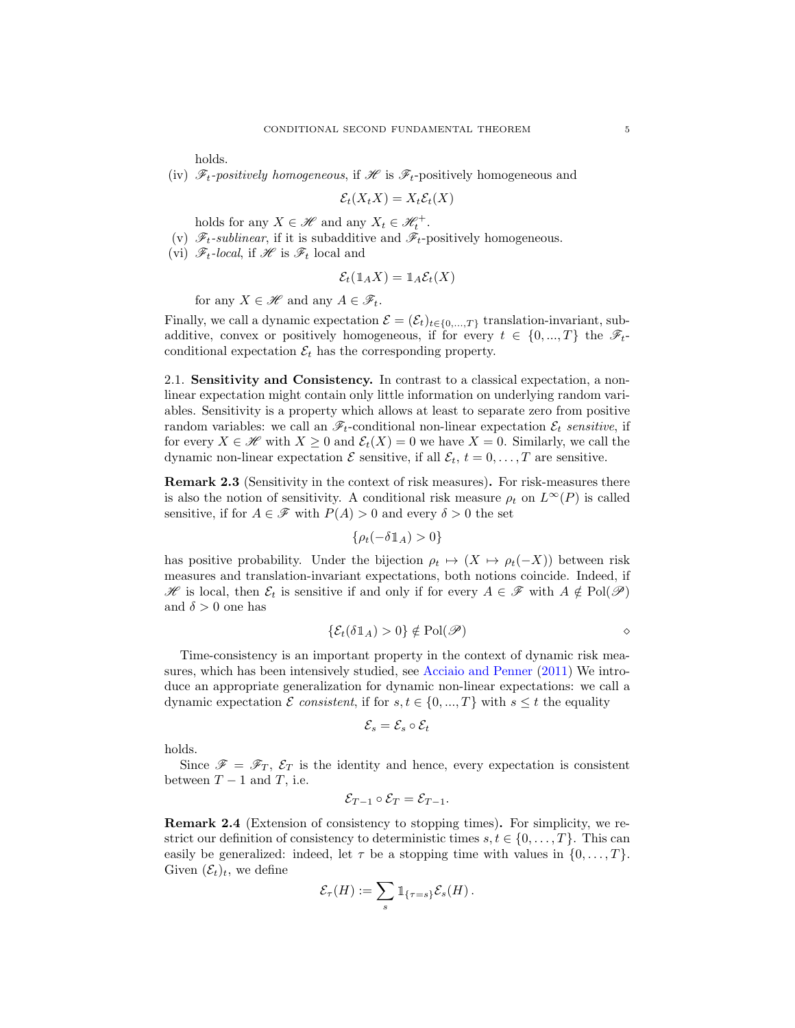holds.

(iv)  $\mathscr{F}_t$ -positively homogeneous, if  $\mathscr{H}$  is  $\mathscr{F}_t$ -positively homogeneous and

$$
\mathcal{E}_t(X_tX) = X_t\mathcal{E}_t(X)
$$

holds for any  $X \in \mathcal{H}$  and any  $X_t \in \mathcal{H}_t^+$ .

- (v)  $\mathscr{F}_t$ -sublinear, if it is subadditive and  $\mathscr{F}_t$ -positively homogeneous.
- (vi)  $\mathscr{F}_t$ -local, if  $\mathscr{H}$  is  $\mathscr{F}_t$  local and

$$
\mathcal{E}_t(\mathbb{1}_A X) = \mathbb{1}_A \mathcal{E}_t(X)
$$

for any  $X \in \mathscr{H}$  and any  $A \in \mathscr{F}_t$ .

Finally, we call a dynamic expectation  $\mathcal{E} = (\mathcal{E}_t)_{t \in \{0,\dots,T\}}$  translation-invariant, subadditive, convex or positively homogeneous, if for every  $t \in \{0, ..., T\}$  the  $\mathscr{F}_t$ conditional expectation  $\mathcal{E}_t$  has the corresponding property.

2.1. Sensitivity and Consistency. In contrast to a classical expectation, a nonlinear expectation might contain only little information on underlying random variables. Sensitivity is a property which allows at least to separate zero from positive random variables: we call an  $\mathscr{F}_t$ -conditional non-linear expectation  $\mathcal{E}_t$  *sensitive*, if for every  $X \in \mathcal{H}$  with  $X \geq 0$  and  $\mathcal{E}_t(X) = 0$  we have  $X = 0$ . Similarly, we call the dynamic non-linear expectation  $\mathcal E$  sensitive, if all  $\mathcal E_t$ ,  $t = 0, \ldots, T$  are sensitive.

Remark 2.3 (Sensitivity in the context of risk measures). For risk-measures there is also the notion of sensitivity. A conditional risk measure  $\rho_t$  on  $L^{\infty}(P)$  is called sensitive, if for  $A \in \mathscr{F}$  with  $P(A) > 0$  and every  $\delta > 0$  the set

$$
\{\rho_t(-\delta \mathbb{1}_A) > 0\}
$$

has positive probability. Under the bijection  $\rho_t \mapsto (X \mapsto \rho_t(-X))$  between risk measures and translation-invariant expectations, both notions coincide. Indeed, if H is local, then  $\mathcal{E}_t$  is sensitive if and only if for every  $A \in \mathcal{F}$  with  $A \notin Pol(\mathcal{P})$ and  $\delta > 0$  one has

$$
\{\mathcal{E}_t(\delta \mathbb{1}_A) > 0\} \notin \mathrm{Pol}(\mathscr{P})
$$

Time-consistency is an important property in the context of dynamic risk measures, which has been intensively studied, see [Acciaio and Penner](#page-23-8) [\(2011\)](#page-23-8) We introduce an appropriate generalization for dynamic non-linear expectations: we call a dynamic expectation E consistent, if for  $s, t \in \{0, ..., T\}$  with  $s \leq t$  the equality

$$
\mathcal{E}_s = \mathcal{E}_s \circ \mathcal{E}_t
$$

holds.

Since  $\mathscr{F} = \mathscr{F}_T$ ,  $\mathscr{E}_T$  is the identity and hence, every expectation is consistent between  $T - 1$  and  $T$ , i.e.

$$
\mathcal{E}_{T-1} \circ \mathcal{E}_T = \mathcal{E}_{T-1}.
$$

Remark 2.4 (Extension of consistency to stopping times). For simplicity, we restrict our definition of consistency to deterministic times  $s, t \in \{0, \ldots, T\}$ . This can easily be generalized: indeed, let  $\tau$  be a stopping time with values in  $\{0, \ldots, T\}$ . Given  $(\mathcal{E}_t)_t$ , we define

$$
\mathcal{E}_{\tau}(H) := \sum_{s} \mathbb{1}_{\{\tau=s\}} \mathcal{E}_{s}(H).
$$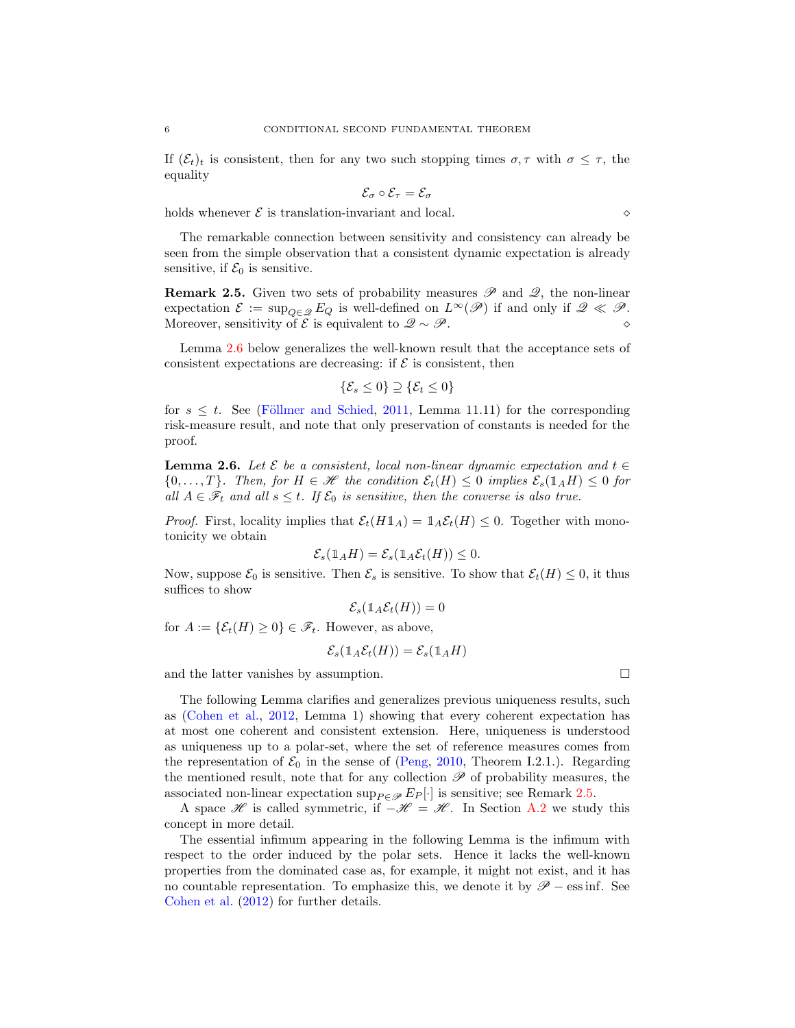If  $(\mathcal{E}_t)_t$  is consistent, then for any two such stopping times  $\sigma, \tau$  with  $\sigma \leq \tau$ , the equality

$$
\mathcal{E}_{\sigma}\circ\mathcal{E}_{\tau}=\mathcal{E}_{\sigma}
$$

holds whenever  $\mathcal E$  is translation-invariant and local.  $\Diamond$ 

The remarkable connection between sensitivity and consistency can already be seen from the simple observation that a consistent dynamic expectation is already sensitive, if  $\mathcal{E}_0$  is sensitive.

<span id="page-5-1"></span>**Remark 2.5.** Given two sets of probability measures  $\mathscr P$  and  $\mathscr Q$ , the non-linear expectation  $\mathcal{E} := \sup_{Q \in \mathscr{Q}} E_Q$  is well-defined on  $L^{\infty}(\mathscr{P})$  if and only if  $\mathscr{Q} \ll \mathscr{P}$ . Moreover, sensitivity of  $\mathcal{E}$  is equivalent to  $\mathscr{Q} \sim \mathscr{P}$ .

Lemma [2.6](#page-5-0) below generalizes the well-known result that the acceptance sets of consistent expectations are decreasing: if  $\mathcal E$  is consistent, then

$$
\{\mathcal{E}_s \leq 0\} \supseteq \{\mathcal{E}_t \leq 0\}
$$

for  $s \leq t$ . See (Föllmer and Schied, [2011](#page-24-7), Lemma 11.11) for the corresponding risk-measure result, and note that only preservation of constants is needed for the proof.

<span id="page-5-0"></span>**Lemma 2.6.** Let  $\mathcal{E}$  be a consistent, local non-linear dynamic expectation and  $t \in$  $\{0, \ldots, T\}$ *. Then, for*  $H \in \mathcal{H}$  the condition  $\mathcal{E}_t(H) \leq 0$  implies  $\mathcal{E}_s(1_A H) \leq 0$  for *all*  $A \in \mathscr{F}_t$  *and all*  $s \leq t$ . If  $\mathcal{E}_0$  *is sensitive, then the converse is also true.* 

*Proof.* First, locality implies that  $\mathcal{E}_t(H1_A) = 1_A \mathcal{E}_t(H) \leq 0$ . Together with monotonicity we obtain

$$
\mathcal{E}_s(1_A H) = \mathcal{E}_s(1_A \mathcal{E}_t(H)) \leq 0.
$$

Now, suppose  $\mathcal{E}_0$  is sensitive. Then  $\mathcal{E}_s$  is sensitive. To show that  $\mathcal{E}_t(H) \leq 0$ , it thus suffices to show

$$
\mathcal{E}_s(1_A\mathcal{E}_t(H))=0
$$

for  $A := \{ \mathcal{E}_t(H) \geq 0 \} \in \mathcal{F}_t$ . However, as above,

$$
\mathcal{E}_s(\mathbb{1}_A\mathcal{E}_t(H)) = \mathcal{E}_s(\mathbb{1}_A H)
$$

and the latter vanishes by assumption.

The following Lemma clarifies and generalizes previous uniqueness results, such as [\(Cohen et al.,](#page-23-9) [2012](#page-23-9), Lemma 1) showing that every coherent expectation has at most one coherent and consistent extension. Here, uniqueness is understood as uniqueness up to a polar-set, where the set of reference measures comes from the representation of  $\mathcal{E}_0$  in the sense of [\(Peng,](#page-24-13) [2010,](#page-24-13) Theorem I.2.1.). Regarding the mentioned result, note that for any collection  $\mathscr P$  of probability measures, the associated non-linear expectation sup $_{P \in \mathscr{P}} E_P [\cdot]$  is sensitive; see Remark [2.5.](#page-5-1)

A space H is called symmetric, if  $-\mathcal{H} = \mathcal{H}$ . In Section [A.2](#page-22-0) we study this concept in more detail.

The essential infimum appearing in the following Lemma is the infimum with respect to the order induced by the polar sets. Hence it lacks the well-known properties from the dominated case as, for example, it might not exist, and it has no countable representation. To emphasize this, we denote it by  $\mathscr{P}$  – ess inf. See [Cohen et al.](#page-23-9) [\(2012](#page-23-9)) for further details.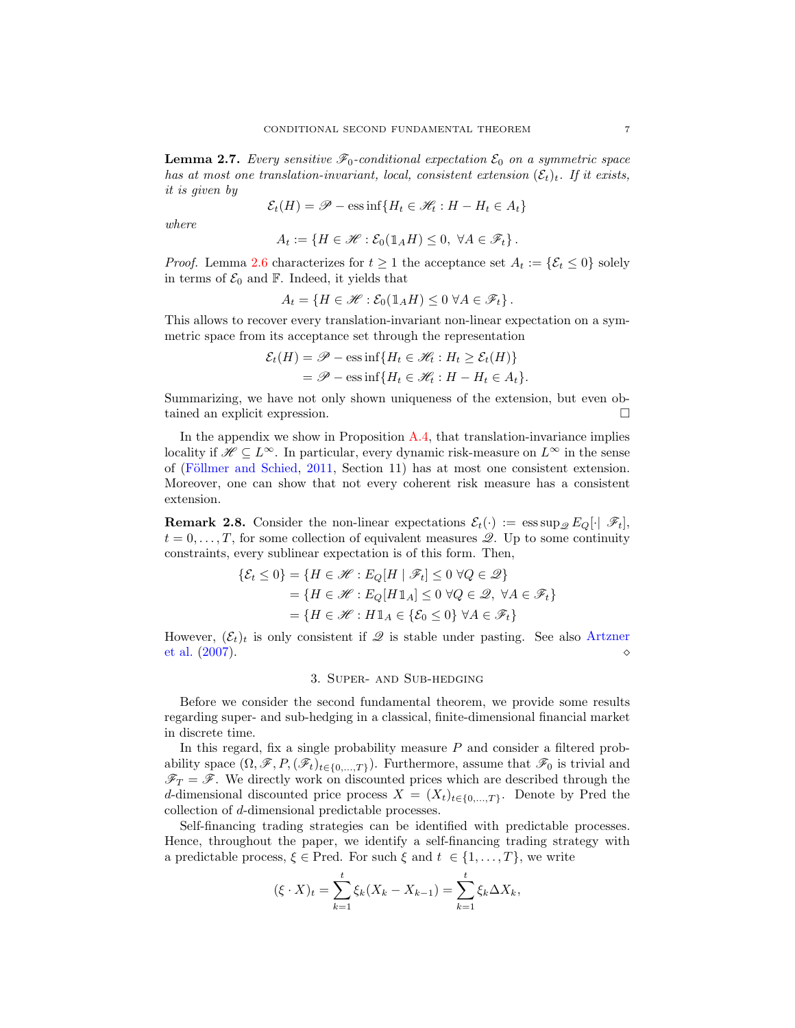<span id="page-6-1"></span>**Lemma 2.7.** *Every sensitive*  $\mathcal{F}_0$ -conditional expectation  $\mathcal{E}_0$  on a symmetric space *has at most one translation-invariant, local, consistent extension*  $(\mathcal{E}_t)_t$ . If it exists, *it is given by*

$$
\mathcal{E}_t(H) = \mathcal{P} - \text{ess}\inf\{H_t \in \mathcal{H}_t : H - H_t \in A_t\}
$$

*where*

$$
A_t := \{ H \in \mathcal{H} : \mathcal{E}_0(\mathbb{1}_A H) \leq 0, \ \forall A \in \mathcal{F}_t \}.
$$

*Proof.* Lemma [2.6](#page-5-0) characterizes for  $t \geq 1$  the acceptance set  $A_t := \{ \mathcal{E}_t \leq 0 \}$  solely in terms of  $\mathcal{E}_0$  and  $\mathbb{F}$ . Indeed, it yields that

$$
A_t = \{ H \in \mathcal{H} : \mathcal{E}_0(\mathbb{1}_A H) \le 0 \ \forall A \in \mathcal{F}_t \}.
$$

This allows to recover every translation-invariant non-linear expectation on a symmetric space from its acceptance set through the representation

$$
\mathcal{E}_t(H) = \mathcal{P} - \text{ess inf}\{H_t \in \mathcal{H}_t : H_t \ge \mathcal{E}_t(H)\}
$$
  
=  $\mathcal{P} - \text{ess inf}\{H_t \in \mathcal{H}_t : H - H_t \in A_t\}.$ 

Summarizing, we have not only shown uniqueness of the extension, but even obtained an explicit expression.

In the appendix we show in Proposition  $A_1A_2$ , that translation-invariance implies locality if  $\mathscr{H} \subseteq L^{\infty}$ . In particular, every dynamic risk-measure on  $L^{\infty}$  in the sense of (Föllmer and Schied, [2011,](#page-24-7) Section 11) has at most one consistent extension. Moreover, one can show that not every coherent risk measure has a consistent extension.

**Remark 2.8.** Consider the non-linear expectations  $\mathcal{E}_t(\cdot) := \operatorname{ess} \sup_{\mathcal{D}} E_O[\cdot | \mathcal{F}_t],$  $t = 0, \ldots, T$ , for some collection of equivalent measures  $\mathscr{Q}$ . Up to some continuity constraints, every sublinear expectation is of this form. Then,

$$
\{\mathcal{E}_t \le 0\} = \{H \in \mathcal{H} : E_Q[H \mid \mathcal{F}_t] \le 0 \,\forall Q \in \mathcal{Q}\}
$$
  
= 
$$
\{H \in \mathcal{H} : E_Q[H1_A] \le 0 \,\forall Q \in \mathcal{Q}, \,\forall A \in \mathcal{F}_t\}
$$
  
= 
$$
\{H \in \mathcal{H} : H1_A \in \{\mathcal{E}_0 \le 0\} \,\forall A \in \mathcal{F}_t\}
$$

<span id="page-6-0"></span>However,  $(\mathcal{E}_t)_t$  is only consistent if  $\mathscr Q$  [is stable under pasting. See also](#page-23-10) Artzner et al. [\(2007](#page-23-10)).  $\circ$ 

### 3. Super- and Sub-hedging

Before we consider the second fundamental theorem, we provide some results regarding super- and sub-hedging in a classical, finite-dimensional financial market in discrete time.

In this regard, fix a single probability measure  $P$  and consider a filtered probability space  $(\Omega, \mathscr{F}, P, (\mathscr{F}_t)_{t\in\{0,\ldots,T\}})$ . Furthermore, assume that  $\mathscr{F}_0$  is trivial and  $\mathscr{F}_T = \mathscr{F}$ . We directly work on discounted prices which are described through the d-dimensional discounted price process  $X = (X_t)_{t \in \{0,\ldots,T\}}$ . Denote by Pred the collection of d-dimensional predictable processes.

Self-financing trading strategies can be identified with predictable processes. Hence, throughout the paper, we identify a self-financing trading strategy with a predictable process,  $\xi \in \text{Pred}$ . For such  $\xi$  and  $t \in \{1, ..., T\}$ , we write

$$
(\xi \cdot X)_t = \sum_{k=1}^t \xi_k (X_k - X_{k-1}) = \sum_{k=1}^t \xi_k \Delta X_k,
$$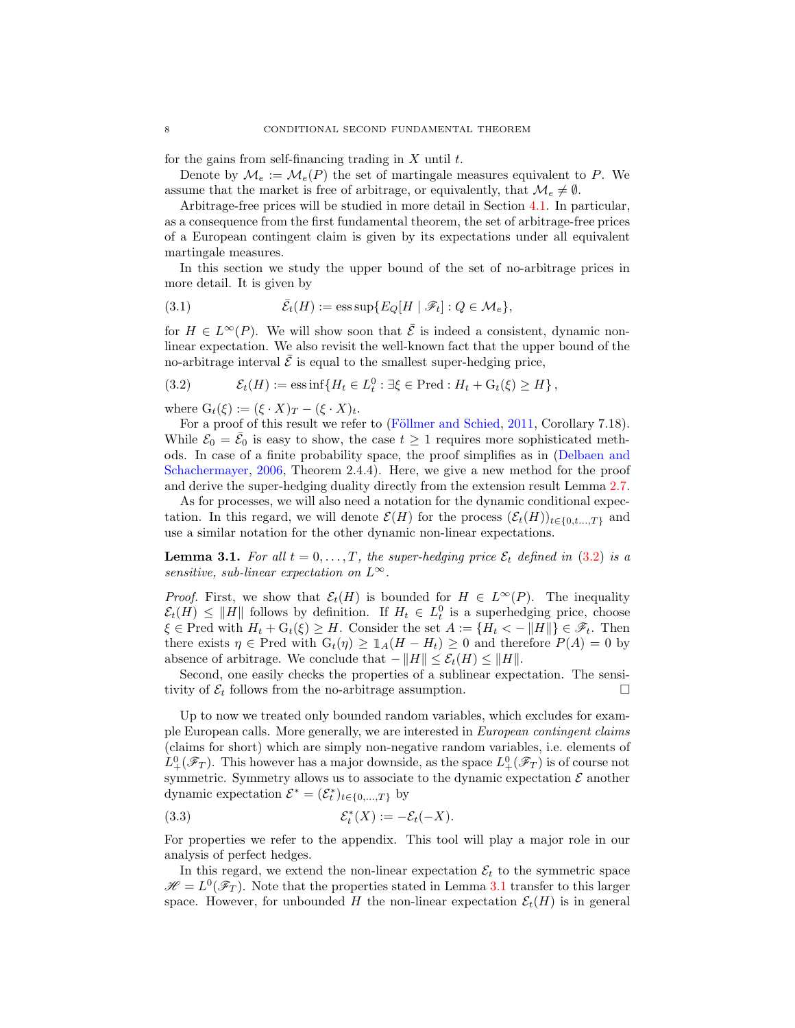for the gains from self-financing trading in  $X$  until  $t$ .

Denote by  $\mathcal{M}_e := \mathcal{M}_e(P)$  the set of martingale measures equivalent to P. We assume that the market is free of arbitrage, or equivalently, that  $\mathcal{M}_e \neq \emptyset$ .

Arbitrage-free prices will be studied in more detail in Section [4.1.](#page-13-1) In particular, as a consequence from the first fundamental theorem, the set of arbitrage-free prices of a European contingent claim is given by its expectations under all equivalent martingale measures.

In this section we study the upper bound of the set of no-arbitrage prices in more detail. It is given by

(3.1) 
$$
\bar{\mathcal{E}}_t(H) := \text{ess sup}\{E_Q[H \mid \mathscr{F}_t] : Q \in \mathcal{M}_e\},
$$

for  $H \in L^{\infty}(P)$ . We will show soon that  $\overline{\mathcal{E}}$  is indeed a consistent, dynamic nonlinear expectation. We also revisit the well-known fact that the upper bound of the no-arbitrage interval  $\bar{\mathcal{E}}$  is equal to the smallest super-hedging price,

<span id="page-7-0"></span>(3.2) 
$$
\mathcal{E}_t(H) := \mathrm{ess\,inf}\{H_t \in L_t^0 : \exists \xi \in \mathrm{Pred} : H_t + \mathrm{G}_t(\xi) \ge H\},
$$

where  $G_t(\xi) := (\xi \cdot X)_T - (\xi \cdot X)_t$ .

For a proof of this result we refer to (Föllmer and Schied, [2011](#page-24-7), Corollary 7.18). While  $\mathcal{E}_0 = \bar{\mathcal{E}}_0$  is easy to show, the case  $t \geq 1$  requires more sophisticated methods. In case o[f a finite probability space, the proof simplifies as in \(](#page-24-4)Delbaen and Schachermayer, [2006,](#page-24-4) Theorem 2.4.4). Here, we give a new method for the proof and derive the super-hedging duality directly from the extension result Lemma [2.7.](#page-6-1)

As for processes, we will also need a notation for the dynamic conditional expectation. In this regard, we will denote  $\mathcal{E}(H)$  for the process  $(\mathcal{E}_t(H))_{t\in\{0,t,\ldots,T\}}$  and use a similar notation for the other dynamic non-linear expectations.

<span id="page-7-1"></span>**Lemma 3.1.** For all  $t = 0, \ldots, T$ , the super-hedging price  $\mathcal{E}_t$  defined in [\(3.2\)](#page-7-0) is a *sensitive, sub-linear expectation on*  $L^{\infty}$ *.* 

*Proof.* First, we show that  $\mathcal{E}_t(H)$  is bounded for  $H \in L^{\infty}(P)$ . The inequality  $\mathcal{E}_t(H) \leq ||H||$  follows by definition. If  $H_t \in L_t^0$  is a superhedging price, choose  $\xi \in \text{Pred with } H_t + G_t(\xi) \geq H$ . Consider the set  $A := \{H_t < -\|H\| \} \in \mathscr{F}_t$ . Then there exists  $\eta \in \text{Pred with } G_t(\eta) \geq 1_A(H - H_t) \geq 0$  and therefore  $P(A) = 0$  by absence of arbitrage. We conclude that  $-||H|| \leq \mathcal{E}_t(H) \leq ||H||$ .

Second, one easily checks the properties of a sublinear expectation. The sensitivity of  $\mathcal{E}_t$  follows from the no-arbitrage assumption.  $\Box$ 

Up to now we treated only bounded random variables, which excludes for example European calls. More generally, we are interested in *European contingent claims* (claims for short) which are simply non-negative random variables, i.e. elements of  $L_+^0(\mathscr{F}_T)$ . This however has a major downside, as the space  $L_+^0(\mathscr{F}_T)$  is of course not symmetric. Symmetry allows us to associate to the dynamic expectation  $\mathcal E$  another dynamic expectation  $\mathcal{E}^* = (\mathcal{E}^*_t)_{t \in \{0, ..., T\}}$  by

<span id="page-7-2"></span>
$$
(3.3) \t\t\t\mathcal{E}_t^*(X) := -\mathcal{E}_t(-X).
$$

For properties we refer to the appendix. This tool will play a major role in our analysis of perfect hedges.

In this regard, we extend the non-linear expectation  $\mathcal{E}_t$  to the symmetric space  $\mathscr{H} = L^{0}(\mathscr{F}_{T})$ . Note that the properties stated in Lemma [3.1](#page-7-1) transfer to this larger space. However, for unbounded H the non-linear expectation  $\mathcal{E}_t(H)$  is in general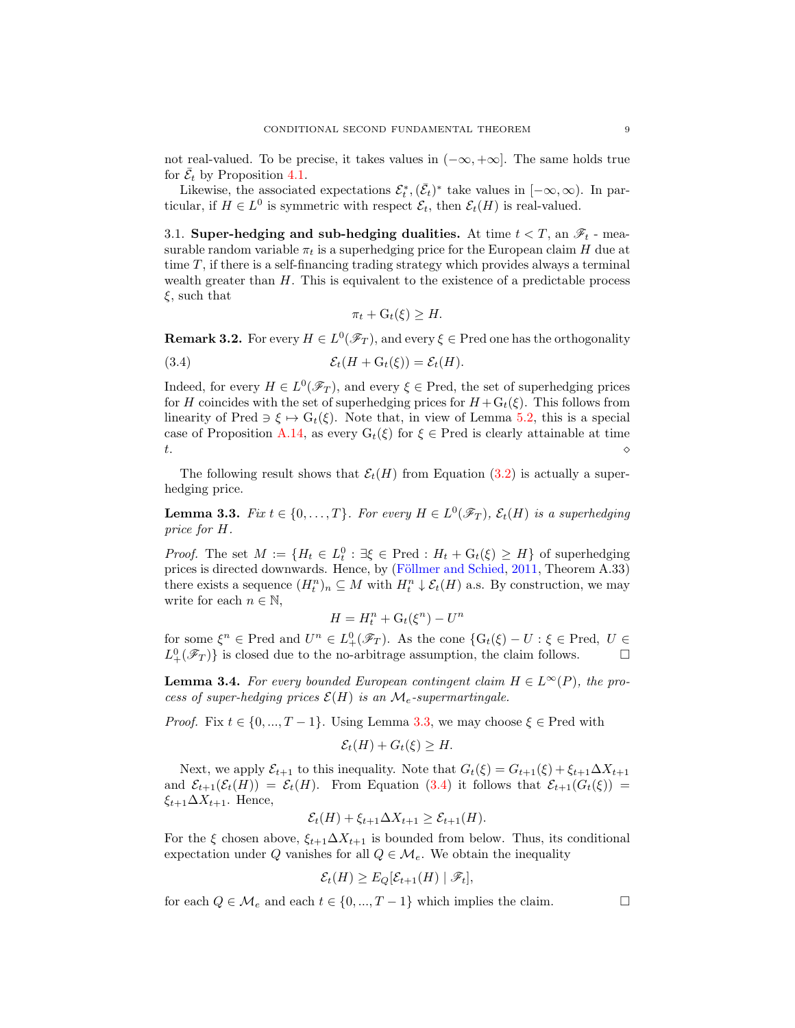not real-valued. To be precise, it takes values in  $(-\infty, +\infty]$ . The same holds true for  $\bar{\mathcal{E}}_t$  by Proposition [4.1.](#page-13-2)

Likewise, the associated expectations  $\mathcal{E}_t^*, (\bar{\mathcal{E}}_t)^*$  take values in  $[-\infty, \infty)$ . In particular, if  $H \in L^0$  is symmetric with respect  $\mathcal{E}_t$ , then  $\mathcal{E}_t(H)$  is real-valued.

3.1. Super-hedging and sub-hedging dualities. At time  $t < T$ , an  $\mathscr{F}_t$  - measurable random variable  $\pi_t$  is a superhedging price for the European claim H due at time  $T$ , if there is a self-financing trading strategy which provides always a terminal wealth greater than  $H$ . This is equivalent to the existence of a predictable process  $\xi$ , such that

$$
\pi_t + \mathcal{G}_t(\xi) \ge H.
$$

<span id="page-8-2"></span>**Remark 3.2.** For every  $H \in L^0(\mathscr{F}_T)$ , and every  $\xi \in$  Pred one has the orthogonality

<span id="page-8-1"></span>(3.4) 
$$
\mathcal{E}_t(H + G_t(\xi)) = \mathcal{E}_t(H).
$$

Indeed, for every  $H \in L^0(\mathscr{F}_T)$ , and every  $\xi \in$  Pred, the set of superhedging prices for H coincides with the set of superhedging prices for  $H + G_t(\xi)$ . This follows from linearity of Pred  $\Rightarrow \xi \mapsto G_t(\xi)$ . Note that, in view of Lemma [5.2,](#page-17-2) this is a special case of Proposition [A.14,](#page-23-11) as every  $G_t(\xi)$  for  $\xi \in$  Pred is clearly attainable at time t.  $\Diamond$ 

The following result shows that  $\mathcal{E}_t(H)$  from Equation [\(3.2\)](#page-7-0) is actually a superhedging price.

<span id="page-8-0"></span>**Lemma 3.3.** *Fix*  $t \in \{0, ..., T\}$ *. For every*  $H \in L^0(\mathscr{F}_T)$ *,*  $\mathcal{E}_t(H)$  *is a superhedging price for* H*.*

*Proof.* The set  $M := \{H_t \in L_t^0 : \exists \xi \in Pred : H_t + G_t(\xi) \geq H\}$  of superhedging prices is directed downwards. Hence, by (Föllmer and Schied, [2011](#page-24-7), Theorem A.33) there exists a sequence  $(H_t^n)_n \subseteq M$  with  $H_t^n \downarrow \mathcal{E}_t(H)$  a.s. By construction, we may write for each  $n \in \mathbb{N}$ ,

$$
H = H_t^n + \mathcal{G}_t(\xi^n) - U^n
$$

for some  $\xi^n \in \text{Pred}$  and  $U^n \in L^0_+(\mathscr{F}_T)$ . As the cone  $\{G_t(\xi) - U : \xi \in \text{Pred}, U \in$  $L^0_+(\mathscr{F}_T)$  is closed due to the no-arbitrage assumption, the claim follows.  $\Box$ 

<span id="page-8-3"></span>**Lemma 3.4.** For every bounded European contingent claim  $H \in L^{\infty}(P)$ , the pro*cess of super-hedging prices*  $\mathcal{E}(H)$  *is an*  $\mathcal{M}_e$ -supermartingale.

*Proof.* Fix  $t \in \{0, ..., T-1\}$ . Using Lemma [3.3,](#page-8-0) we may choose  $\xi \in$  Pred with

$$
\mathcal{E}_t(H) + G_t(\xi) \ge H.
$$

Next, we apply  $\mathcal{E}_{t+1}$  to this inequality. Note that  $G_t(\xi) = G_{t+1}(\xi) + \xi_{t+1} \Delta X_{t+1}$ and  $\mathcal{E}_{t+1}(\mathcal{E}_t(H)) = \mathcal{E}_t(H)$ . From Equation [\(3.4\)](#page-8-1) it follows that  $\mathcal{E}_{t+1}(G_t(\xi)) =$  $\xi_{t+1} \Delta X_{t+1}$ . Hence,

$$
\mathcal{E}_t(H) + \xi_{t+1} \Delta X_{t+1} \geq \mathcal{E}_{t+1}(H).
$$

For the  $\xi$  chosen above,  $\xi_{t+1}\Delta X_{t+1}$  is bounded from below. Thus, its conditional expectation under Q vanishes for all  $Q \in \mathcal{M}_e$ . We obtain the inequality

$$
\mathcal{E}_t(H) \geq E_Q[\mathcal{E}_{t+1}(H) | \mathcal{F}_t],
$$

for each  $Q \in \mathcal{M}_e$  and each  $t \in \{0, ..., T-1\}$  which implies the claim.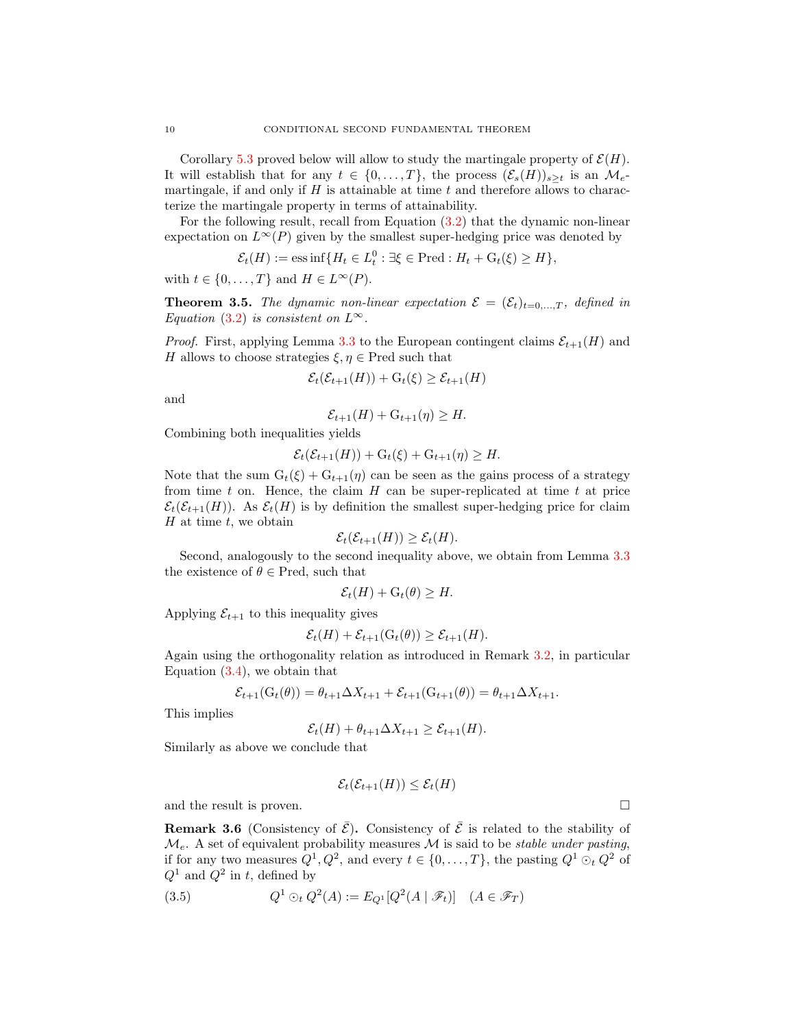Corollary [5.3](#page-18-2) proved below will allow to study the martingale property of  $\mathcal{E}(H)$ . It will establish that for any  $t \in \{0, \ldots, T\}$ , the process  $(\mathcal{E}_s(H))_{s>t}$  is an  $\mathcal{M}_{e^-}$ martingale, if and only if  $H$  is attainable at time  $t$  and therefore allows to characterize the martingale property in terms of attainability.

For the following result, recall from Equation [\(3.2\)](#page-7-0) that the dynamic non-linear expectation on  $L^{\infty}(P)$  given by the smallest super-hedging price was denoted by

$$
\mathcal{E}_t(H) := \text{ess}\inf\{H_t \in L_t^0 : \exists \xi \in \text{Pred} : H_t + \mathcal{G}_t(\xi) \ge H\},\
$$

with  $t \in \{0, ..., T\}$  and  $H \in L^{\infty}(P)$ .

<span id="page-9-0"></span>**Theorem 3.5.** The dynamic non-linear expectation  $\mathcal{E} = (\mathcal{E}_t)_{t=0,\ldots,T}$ , defined in *Equation* [\(3.2\)](#page-7-0) *is consistent on*  $L^{\infty}$ *.* 

*Proof.* First, applying Lemma [3.3](#page-8-0) to the European contingent claims  $\mathcal{E}_{t+1}(H)$  and H allows to choose strategies  $\xi, \eta \in \text{Pred}$  such that

$$
\mathcal{E}_t(\mathcal{E}_{t+1}(H)) + \mathcal{G}_t(\xi) \ge \mathcal{E}_{t+1}(H)
$$

and

$$
\mathcal{E}_{t+1}(H) + \mathcal{G}_{t+1}(\eta) \ge H.
$$

Combining both inequalities yields

$$
\mathcal{E}_t(\mathcal{E}_{t+1}(H)) + \mathcal{G}_t(\xi) + \mathcal{G}_{t+1}(\eta) \ge H.
$$

Note that the sum  $G_t(\xi) + G_{t+1}(\eta)$  can be seen as the gains process of a strategy from time  $t$  on. Hence, the claim  $H$  can be super-replicated at time  $t$  at price  $\mathcal{E}_t(\mathcal{E}_{t+1}(H))$ . As  $\mathcal{E}_t(H)$  is by definition the smallest super-hedging price for claim  $H$  at time  $t$ , we obtain

$$
\mathcal{E}_t(\mathcal{E}_{t+1}(H)) \geq \mathcal{E}_t(H).
$$

Second, analogously to the second inequality above, we obtain from Lemma  $3.3$ the existence of  $\theta \in \text{Pred}$ , such that

$$
\mathcal{E}_t(H) + \mathcal{G}_t(\theta) \ge H.
$$

Applying  $\mathcal{E}_{t+1}$  to this inequality gives

$$
\mathcal{E}_t(H) + \mathcal{E}_{t+1}(\mathrm{G}_t(\theta)) \geq \mathcal{E}_{t+1}(H).
$$

Again using the orthogonality relation as introduced in Remark [3.2,](#page-8-2) in particular Equation  $(3.4)$ , we obtain that

$$
\mathcal{E}_{t+1}(G_t(\theta)) = \theta_{t+1} \Delta X_{t+1} + \mathcal{E}_{t+1}(G_{t+1}(\theta)) = \theta_{t+1} \Delta X_{t+1}.
$$

This implies

$$
\mathcal{E}_t(H) + \theta_{t+1} \Delta X_{t+1} \geq \mathcal{E}_{t+1}(H).
$$

Similarly as above we conclude that

$$
\mathcal{E}_t(\mathcal{E}_{t+1}(H)) \leq \mathcal{E}_t(H)
$$

and the result is proven.  $\Box$ 

<span id="page-9-1"></span>**Remark 3.6** (Consistency of  $\bar{\mathcal{E}}$ ). Consistency of  $\bar{\mathcal{E}}$  is related to the stability of  $\mathcal{M}_e$ . A set of equivalent probability measures  $\mathcal M$  is said to be *stable under pasting*, if for any two measures  $Q^1, Q^2$ , and every  $t \in \{0, ..., T\}$ , the pasting  $Q^1 \odot_t Q^2$  of  $Q^1$  and  $Q^2$  in t, defined by

<span id="page-9-2"></span>(3.5) 
$$
Q^1 \odot_t Q^2(A) := E_{Q^1}[Q^2(A \mid \mathscr{F}_t)] \quad (A \in \mathscr{F}_T)
$$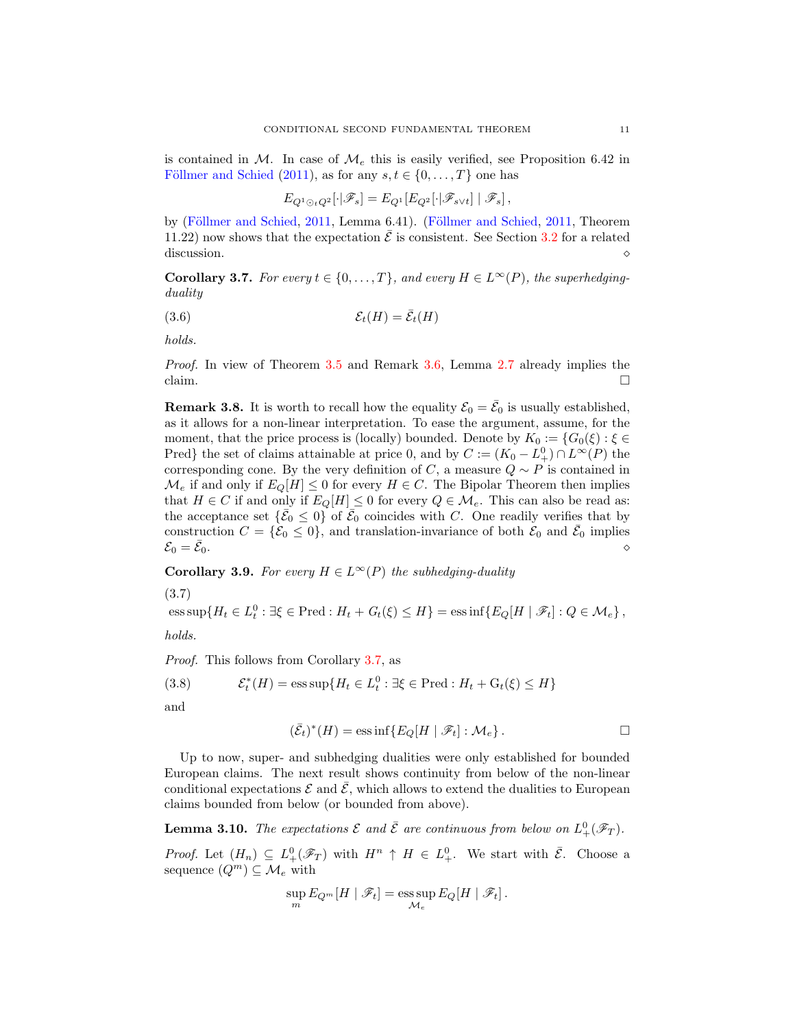is contained in M. In case of  $\mathcal{M}_e$  this is easily verified, see Proposition 6.42 in Föllmer and Schied [\(2011](#page-24-7)), as for any  $s, t \in \{0, \ldots, T\}$  one has

$$
E_{Q^1 \odot_t Q^2}[\cdot | \mathscr{F}_s] = E_{Q^1}[E_{Q^2}[\cdot | \mathscr{F}_{s \vee t}] | \mathscr{F}_s],
$$

by (Föllmer and Schied, [2011](#page-24-7), Lemma 6.41). (Föllmer and Schied, [2011,](#page-24-7) Theorem 11.22) now shows that the expectation  $\bar{\mathcal{E}}$  is consistent. See Section [3.2](#page-12-1) for a related discussion.  $\Diamond$ 

<span id="page-10-0"></span>**Corollary 3.7.** For every  $t \in \{0, ..., T\}$ , and every  $H \in L^{\infty}(P)$ , the superhedging*duality*

<span id="page-10-1"></span>
$$
(3.6) \t\t\t\mathcal{E}_t(H) = \bar{\mathcal{E}}_t(H)
$$

*holds.*

*Proof.* In view of Theorem [3.5](#page-9-0) and Remark [3.6,](#page-9-1) Lemma [2.7](#page-6-1) already implies the claim.  $\Box$ 

<span id="page-10-3"></span>**Remark 3.8.** It is worth to recall how the equality  $\mathcal{E}_0 = \bar{\mathcal{E}}_0$  is usually established, as it allows for a non-linear interpretation. To ease the argument, assume, for the moment, that the price process is (locally) bounded. Denote by  $K_0 := \{G_0(\xi) : \xi \in$ Pred} the set of claims attainable at price 0, and by  $C := (K_0 - L_+^0) \cap L^{\infty}(P)$  the corresponding cone. By the very definition of C, a measure  $Q \sim P$  is contained in  $\mathcal{M}_e$  if and only if  $E_Q[H] \leq 0$  for every  $H \in C$ . The Bipolar Theorem then implies that  $H \in C$  if and only if  $E_Q[H] \leq 0$  for every  $Q \in \mathcal{M}_e$ . This can also be read as: the acceptance set  $\{\bar{\mathcal{E}}_0 \leq 0\}$  of  $\bar{\mathcal{E}}_0$  coincides with C. One readily verifies that by construction  $C = {\{\mathcal{E}_0 \le 0\}}$ , and translation-invariance of both  $\mathcal{E}_0$  and  $\bar{\mathcal{E}}_0$  implies  $\mathcal{E}_0 = \mathcal{E}_0.$  $\circ$   $\circ$   $\circ$ 

**Corollary 3.9.** *For every*  $H \in L^{\infty}(P)$  *the subhedging-duality* 

<span id="page-10-5"></span> $\text{ess sup}\{H_t \in L_t^0 : \exists \xi \in \text{Pred}: H_t + G_t(\xi) \leq H\} = \text{ess inf}\{E_Q[H \mid \mathscr{F}_t] : Q \in \mathcal{M}_e\},\$ (3.7) *holds.*

*Proof.* This follows from Corollary [3.7,](#page-10-0) as

<span id="page-10-4"></span>(3.8)  $\mathcal{E}_t^*(H) = \text{ess} \sup \{ H_t \in L_t^0 : \exists \xi \in \text{Pred} : H_t + \text{G}_t(\xi) \leq H \}$ 

and

$$
(\bar{\mathcal{E}}_t)^*(H) = \text{ess}\inf \{ E_Q[H \mid \mathscr{F}_t] : \mathcal{M}_e \} . \Box
$$

Up to now, super- and subhedging dualities were only established for bounded European claims. The next result shows continuity from below of the non-linear conditional expectations  $\mathcal E$  and  $\mathcal E$ , which allows to extend the dualities to European claims bounded from below (or bounded from above).

<span id="page-10-2"></span>**Lemma 3.10.** The expectations  $\mathcal E$  and  $\overline{\mathcal E}$  are continuous from below on  $L^0_+(\mathscr F_T)$ .

*Proof.* Let  $(H_n) \subseteq L^0_+(\mathscr{F}_T)$  with  $H^n \uparrow H \in L^0_+$ . We start with  $\overline{\mathcal{E}}$ . Choose a sequence  $(Q^m) \subseteq \mathcal{M}_e$  with

$$
\sup_{m} E_{Q^m}[H \mid \mathscr{F}_t] = \operatorname*{ess\,sup}_{\mathcal{M}_e} E_Q[H \mid \mathscr{F}_t].
$$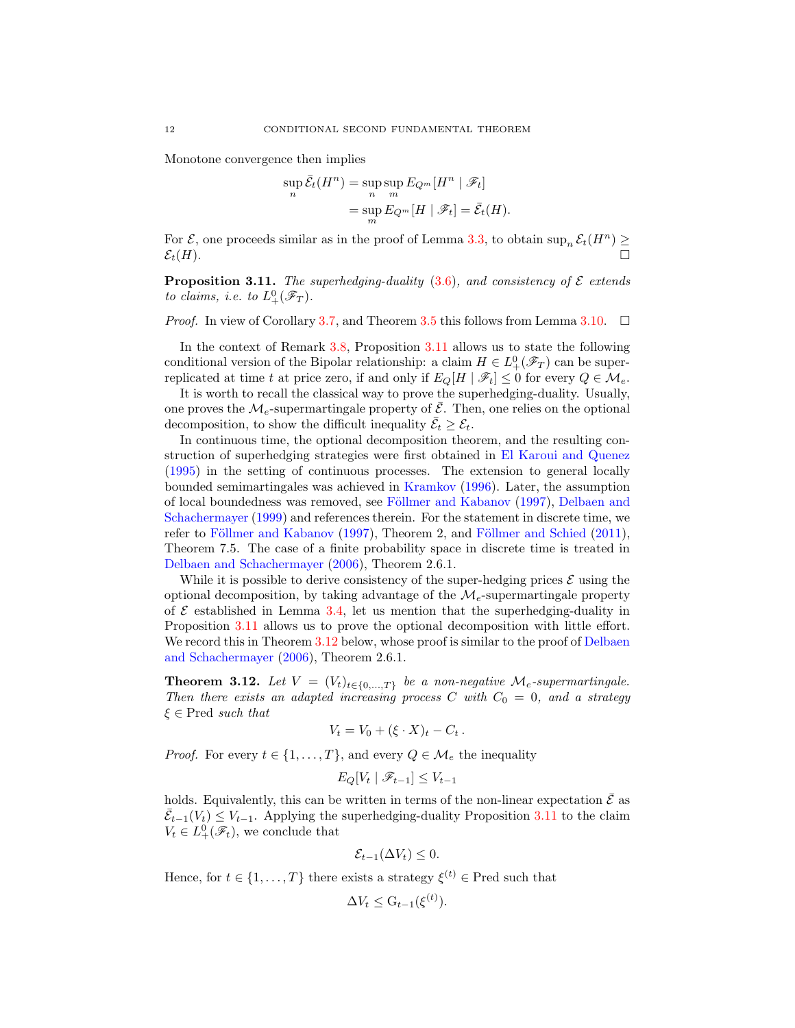Monotone convergence then implies

$$
\sup_{n} \overline{\mathcal{E}}_{t}(H^{n}) = \sup_{n} \sup_{m} E_{Q^{m}}[H^{n} | \mathcal{F}_{t}]
$$
  
= 
$$
\sup_{m} E_{Q^{m}}[H | \mathcal{F}_{t}] = \overline{\mathcal{E}}_{t}(H).
$$

For  $\mathcal{E}$ , one proceeds similar as in the proof of Lemma [3.3,](#page-8-0) to obtain  $\sup_n \mathcal{E}_t(H^n) \geq$  $\mathcal{E}_t(H)$ .

<span id="page-11-0"></span>**Proposition 3.11.** *The superhedging-duality* [\(3.6\)](#page-10-1)*, and consistency of*  $\mathcal{E}$  *extends to claims, i.e. to*  $L^0_+(\mathscr{F}_T)$ *.* 

*Proof.* In view of Corollary [3.7,](#page-10-0) and Theorem [3.5](#page-9-0) this follows from Lemma [3.10.](#page-10-2)  $\Box$ 

In the context of Remark [3.8,](#page-10-3) Proposition [3.11](#page-11-0) allows us to state the following conditional version of the Bipolar relationship: a claim  $H \in L^0_+(\mathscr{F}_T)$  can be superreplicated at time t at price zero, if and only if  $E_Q[H \mid \mathscr{F}_t] \leq 0$  for every  $Q \in \mathcal{M}_e$ .

It is worth to recall the classical way to prove the superhedging-duality. Usually, one proves the  $\mathcal{M}_e$ -supermartingale property of  $\overline{\mathcal{E}}$ . Then, one relies on the optional decomposition, to show the difficult inequality  $\bar{\mathcal{E}}_t \geq \mathcal{E}_t$ .

In continuous time, the optional decomposition theorem, and the resulting construction of superhedging strategies were first obtained in [El Karoui and Quenez](#page-24-14) [\(1995\)](#page-24-14) in the setting of continuous processes. The extension to general locally bounded semimartingales was achieved in [Kramkov](#page-24-15) [\(1996](#page-24-15)). Later, the assumption of local bound[edness was removed, see](#page-24-17) Föllmer and Kabanov [\(1997\)](#page-24-16), Delbaen and Schachermayer [\(1999\)](#page-24-17) and references therein. For the statement in discrete time, we refer to Föllmer and Kabanov [\(1997\)](#page-24-16), Theorem 2, and Föllmer and Schied [\(2011\)](#page-24-7), Theorem 7.5. The case of a finite probability space in discrete time is treated in [Delbaen and Schachermayer](#page-24-4) [\(2006](#page-24-4)), Theorem 2.6.1.

While it is possible to derive consistency of the super-hedging prices  $\mathcal E$  using the optional decomposition, by taking advantage of the  $\mathcal{M}_{e}$ -supermartingale property of  $\mathcal E$  established in Lemma [3.4,](#page-8-3) let us mention that the superhedging-duality in Proposition [3.11](#page-11-0) allows us to prove the optional decomposition with little effort. We record this in Theorem [3.12](#page-11-1) [below, whose proof is similar to the proof of](#page-24-4) Delbaen and Schachermayer [\(2006\)](#page-24-4), Theorem 2.6.1.

<span id="page-11-1"></span>Theorem 3.12. Let  $V = (V_t)_{t \in \{0, ..., T\}}$  be a non-negative  $\mathcal{M}_e$ -supermartingale. *Then there exists an adapted increasing process* C with  $C_0 = 0$ , and a strategy ξ ∈ Pred *such that*

$$
V_t = V_0 + (\xi \cdot X)_t - C_t.
$$

*Proof.* For every  $t \in \{1, ..., T\}$ , and every  $Q \in \mathcal{M}_e$  the inequality

$$
E_Q[V_t \mid \mathcal{F}_{t-1}] \le V_{t-1}
$$

holds. Equivalently, this can be written in terms of the non-linear expectation  $\bar{\mathcal{E}}$  as  $\bar{\mathcal{E}}_{t-1}(V_t) \leq V_{t-1}$ . Applying the superhedging-duality Proposition [3.11](#page-11-0) to the claim  $V_t \in L^0_+(\mathscr{F}_t)$ , we conclude that

$$
\mathcal{E}_{t-1}(\Delta V_t) \leq 0.
$$

Hence, for  $t \in \{1, ..., T\}$  there exists a strategy  $\xi^{(t)} \in \text{Pred}$  such that

$$
\Delta V_t \leq G_{t-1}(\xi^{(t)}).
$$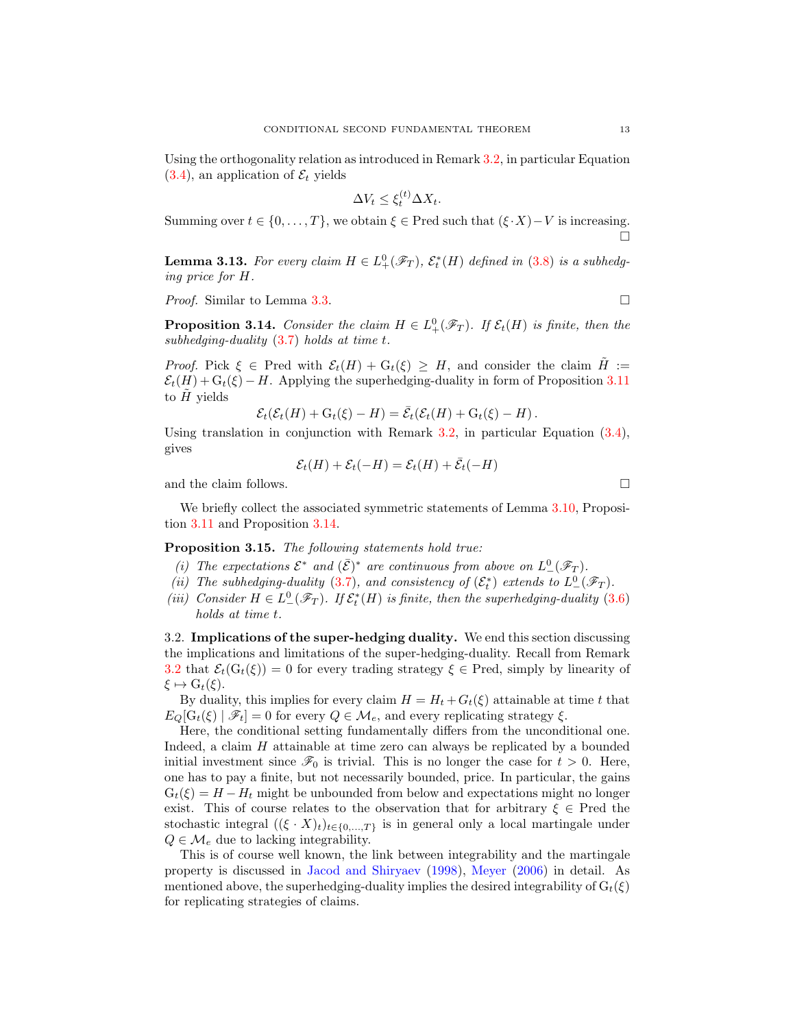Using the orthogonality relation as introduced in Remark [3.2,](#page-8-2) in particular Equation  $(3.4)$ , an application of  $\mathcal{E}_t$  yields

$$
\Delta V_t \le \xi_t^{(t)} \Delta X_t.
$$

Summing over  $t \in \{0, \ldots, T\}$ , we obtain  $\xi \in \text{Pred}$  such that  $(\xi \cdot X) - V$  is increasing. Ò

<span id="page-12-2"></span>**Lemma 3.13.** For every claim  $H \in L^0_+(\mathscr{F}_T)$ ,  $\mathcal{E}_t^*(H)$  defined in [\(3.8\)](#page-10-4) is a subhedg*ing price for* H*.*

*Proof.* Similar to Lemma [3.3.](#page-8-0) □

<span id="page-12-0"></span>**Proposition 3.14.** *Consider the claim*  $H \in L^0_+(\mathscr{F}_T)$ *. If*  $\mathcal{E}_t(H)$  *is finite, then the subhedging-duality* [\(3.7\)](#page-10-5) *holds at time* t*.*

*Proof.* Pick  $\xi \in \text{Pred with } \mathcal{E}_t(H) + G_t(\xi) \geq H$ , and consider the claim  $H :=$  $\mathcal{E}_t(H) + \mathcal{G}_t(\xi) - H$ . Applying the superhedging-duality in form of Proposition [3.11](#page-11-0) to  $H$  yields

$$
\mathcal{E}_t(\mathcal{E}_t(H) + G_t(\xi) - H) = \bar{\mathcal{E}}_t(\mathcal{E}_t(H) + G_t(\xi) - H).
$$

Using translation in conjunction with Remark [3.2,](#page-8-2) in particular Equation [\(3.4\)](#page-8-1), gives

$$
\mathcal{E}_t(H) + \mathcal{E}_t(-H) = \mathcal{E}_t(H) + \bar{\mathcal{E}}_t(-H)
$$

and the claim follows.  $\Box$ 

We briefly collect the associated symmetric statements of Lemma [3.10,](#page-10-2) Proposition [3.11](#page-11-0) and Proposition [3.14.](#page-12-0)

Proposition 3.15. *The following statements hold true:*

- *(i)* The expectations  $\mathcal{E}^*$  and  $(\bar{\mathcal{E}})^*$  are continuous from above on  $L^0(\mathscr{F}_T)$ .
- (*ii*) The subhedging-duality [\(3.7\)](#page-10-5), and consistency of  $(\mathcal{E}_t^*)$  extends to  $L^0_-(\mathscr{F}_T)$ .
- (*iii*) Consider  $H \in L^0_-(\mathscr{F}_T)$ . If  $\mathcal{E}_t^*(H)$  is finite, then the superhedging-duality [\(3.6\)](#page-10-1) *holds at time* t*.*

<span id="page-12-1"></span>3.2. Implications of the super-hedging duality. We end this section discussing the implications and limitations of the super-hedging-duality. Recall from Remark [3.2](#page-8-2) that  $\mathcal{E}_t(G_t(\xi)) = 0$  for every trading strategy  $\xi \in \text{Pred}$ , simply by linearity of  $\xi \mapsto G_t(\xi)$ .

By duality, this implies for every claim  $H = H_t + G_t(\xi)$  attainable at time t that  $E_Q[\mathcal{G}_t(\xi) | \mathcal{F}_t] = 0$  for every  $Q \in \mathcal{M}_e$ , and every replicating strategy  $\xi$ .

Here, the conditional setting fundamentally differs from the unconditional one. Indeed, a claim H attainable at time zero can always be replicated by a bounded initial investment since  $\mathscr{F}_0$  is trivial. This is no longer the case for  $t > 0$ . Here, one has to pay a finite, but not necessarily bounded, price. In particular, the gains  $G_t(\xi) = H - H_t$  might be unbounded from below and expectations might no longer exist. This of course relates to the observation that for arbitrary  $\xi \in \text{Pred}$  the stochastic integral  $((\xi \cdot X)_t)_{t\in\{0,\ldots,T\}}$  is in general only a local martingale under  $Q \in \mathcal{M}_e$  due to lacking integrability.

This is of course well known, the link between integrability and the martingale property is discussed in [Jacod and Shiryaev](#page-24-18) [\(1998](#page-24-18)), [Meyer](#page-24-19) [\(2006\)](#page-24-19) in detail. As mentioned above, the superhedging-duality implies the desired integrability of  $G_t(\xi)$ for replicating strategies of claims.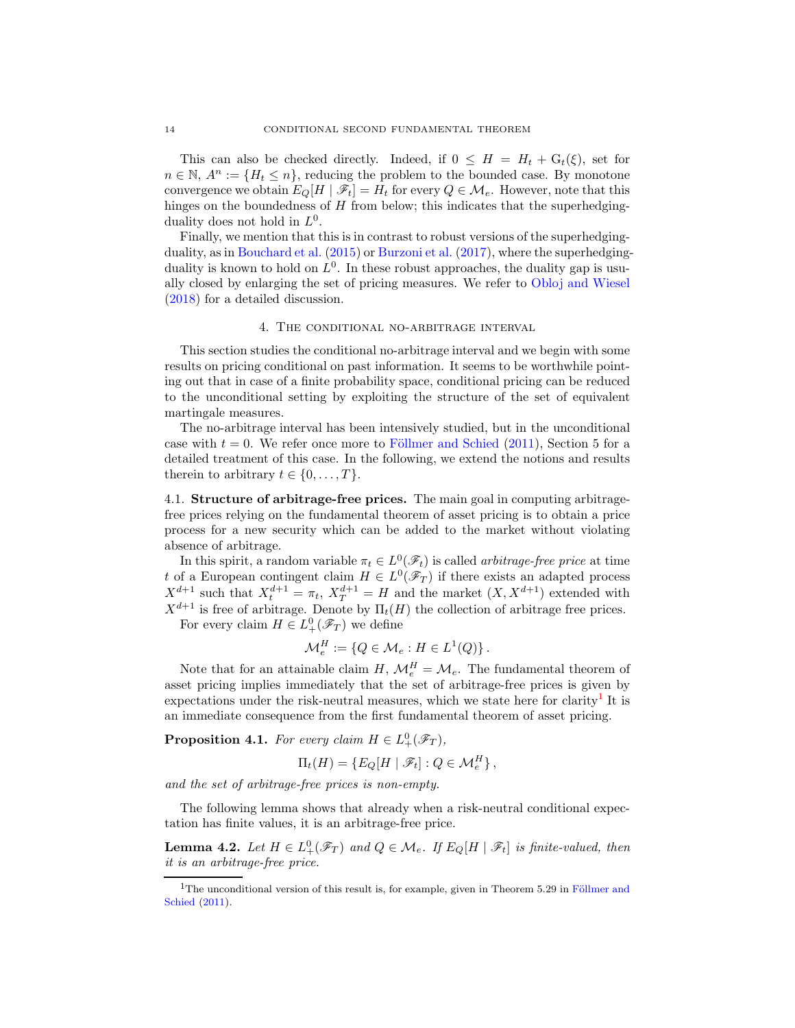This can also be checked directly. Indeed, if  $0 \leq H = H_t + G_t(\xi)$ , set for  $n \in \mathbb{N}$ ,  $A^n := \{H_t \leq n\}$ , reducing the problem to the bounded case. By monotone convergence we obtain  $E_O[H | \mathcal{F}_t] = H_t$  for every  $Q \in \mathcal{M}_e$ . However, note that this hinges on the boundedness of  $H$  from below; this indicates that the superhedgingduality does not hold in  $L^0$ .

Finally, we mention that this is in contrast to robust versions of the superhedgingduality, as in [Bouchard et al.](#page-23-5) [\(2015](#page-23-5)) or [Burzoni et al.](#page-23-12) [\(2017\)](#page-23-12), where the superhedgingduality is known to hold on  $L^0$ . In these robust approaches, the duality gap is usually closed by enlarging the set of pricing measures. We refer to [Obloj and Wiesel](#page-24-20) [\(2018\)](#page-24-20) for a detailed discussion.

## 4. The conditional no-arbitrage interval

<span id="page-13-0"></span>This section studies the conditional no-arbitrage interval and we begin with some results on pricing conditional on past information. It seems to be worthwhile pointing out that in case of a finite probability space, conditional pricing can be reduced to the unconditional setting by exploiting the structure of the set of equivalent martingale measures.

The no-arbitrage interval has been intensively studied, but in the unconditional case with  $t = 0$ . We refer once more to Föllmer and Schied [\(2011\)](#page-24-7), Section 5 for a detailed treatment of this case. In the following, we extend the notions and results therein to arbitrary  $t \in \{0, \ldots, T\}$ .

<span id="page-13-1"></span>4.1. Structure of arbitrage-free prices. The main goal in computing arbitragefree prices relying on the fundamental theorem of asset pricing is to obtain a price process for a new security which can be added to the market without violating absence of arbitrage.

In this spirit, a random variable  $\pi_t \in L^0(\mathscr{F}_t)$  is called *arbitrage-free price* at time t of a European contingent claim  $H \in L^0(\mathscr{F}_T)$  if there exists an adapted process  $X^{d+1}$  such that  $X_t^{d+1} = \pi_t$ ,  $X_T^{d+1} = H$  and the market  $(X, X^{d+1})$  extended with  $X^{d+1}$  is free of arbitrage. Denote by  $\Pi_t(H)$  the collection of arbitrage free prices. For every claim  $H \in L^0_+(\mathscr{F}_T)$  we define

$$
\mathcal{M}_e^H := \{ Q \in \mathcal{M}_e : H \in L^1(Q) \}.
$$

Note that for an attainable claim  $H, \mathcal{M}_e^H = \mathcal{M}_e$ . The fundamental theorem of asset pricing implies immediately that the set of arbitrage-free prices is given by expectations under the risk-neutral measures, which we state here for clarity<sup>[1](#page-13-3)</sup> It is an immediate consequence from the first fundamental theorem of asset pricing.

<span id="page-13-2"></span>**Proposition 4.1.** For every claim  $H \in L^0_+(\mathscr{F}_T)$ ,

$$
\Pi_t(H) = \{ E_Q[H \mid \mathscr{F}_t] : Q \in \mathcal{M}_e^H \},
$$

*and the set of arbitrage-free prices is non-empty.*

The following lemma shows that already when a risk-neutral conditional expectation has finite values, it is an arbitrage-free price.

<span id="page-13-4"></span>**Lemma 4.2.** Let  $H \in L^0_+(\mathscr{F}_T)$  and  $Q \in \mathcal{M}_e$ . If  $E_Q[H \mid \mathscr{F}_t]$  is finite-valued, then *it is an arbitrage-free price.*

<span id="page-13-3"></span> $1$ T[he unconditional version of this result is, for example, given in Theorem 5.29 in](#page-24-7) Föllmer and Schied [\(2011](#page-24-7)).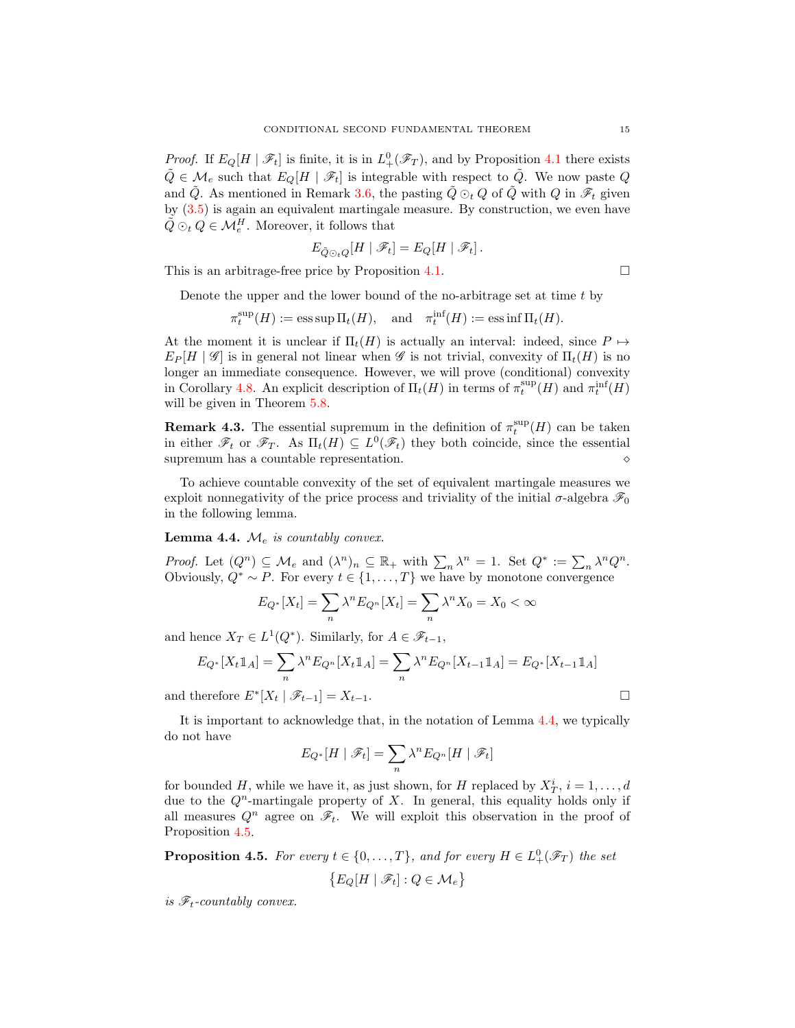*Proof.* If  $E_Q[H \mid \mathscr{F}_t]$  is finite, it is in  $L^0_+(\mathscr{F}_T)$ , and by Proposition [4.1](#page-13-2) there exists  $\tilde{Q} \in \mathcal{M}_e$  such that  $E_Q[H \mid \mathscr{F}_t]$  is integrable with respect to  $\tilde{Q}$ . We now paste Q and  $\tilde{Q}$ . As mentioned in Remark [3.6,](#page-9-1) the pasting  $\tilde{Q} \odot_t Q$  of  $\tilde{Q}$  with  $Q$  in  $\mathscr{F}_t$  given by [\(3.5\)](#page-9-2) is again an equivalent martingale measure. By construction, we even have  $\tilde{Q} \odot_t Q \in \mathcal{M}_e^H$ . Moreover, it follows that

$$
E_{\tilde{Q} \odot_t Q} [H \mid \mathscr{F}_t] = E_Q [H \mid \mathscr{F}_t].
$$

This is an arbitrage-free price by Proposition [4.1.](#page-13-2)  $\Box$ 

Denote the upper and the lower bound of the no-arbitrage set at time t by

$$
\pi_t^{\sup}(H) := \operatorname{ess\,sup} \Pi_t(H), \quad \text{and} \quad \pi_t^{\inf}(H) := \operatorname{ess\,inf} \Pi_t(H).
$$

At the moment it is unclear if  $\Pi_t(H)$  is actually an interval: indeed, since  $P \mapsto$  $E_P[H \mid \mathscr{G}]$  is in general not linear when  $\mathscr{G}$  is not trivial, convexity of  $\Pi_t(H)$  is no longer an immediate consequence. However, we will prove (conditional) convexity in Corollary [4.8.](#page-15-0) An explicit description of  $\Pi_t(H)$  in terms of  $\pi_t^{\text{sup}}(H)$  and  $\pi_t^{\text{inf}}(H)$ will be given in Theorem  $5.8$ .

**Remark 4.3.** The essential supremum in the definition of  $\pi_t^{\text{sup}}(H)$  can be taken in either  $\mathscr{F}_t$  or  $\mathscr{F}_T$ . As  $\Pi_t(H) \subseteq L^0(\mathscr{F}_t)$  they both coincide, since the essential supremum has a countable representation.

To achieve countable convexity of the set of equivalent martingale measures we exploit nonnegativity of the price process and triviality of the initial  $\sigma$ -algebra  $\mathscr{F}_0$ in the following lemma.

<span id="page-14-0"></span>Lemma 4.4.  $\mathcal{M}_{e}$  *is countably convex.* 

*Proof.* Let  $(Q^n) \subseteq M_e$  and  $(\lambda^n)_n \subseteq \mathbb{R}_+$  with  $\sum_n \lambda^n = 1$ . Set  $Q^* := \sum_n \lambda^n Q^n$ . Obviously,  $Q^* \sim P$ . For every  $t \in \{1, ..., T\}$  we have by monotone convergence

$$
E_{Q^*}[X_t] = \sum_n \lambda^n E_{Q^n}[X_t] = \sum_n \lambda^n X_0 = X_0 < \infty
$$

and hence  $X_T \in L^1(Q^*)$ . Similarly, for  $A \in \mathscr{F}_{t-1}$ ,

$$
E_{Q^*}[X_t \mathbb{1}_A] = \sum_n \lambda^n E_{Q^n}[X_t \mathbb{1}_A] = \sum_n \lambda^n E_{Q^n}[X_{t-1} \mathbb{1}_A] = E_{Q^*}[X_{t-1} \mathbb{1}_A]
$$
  
and therefore  $E^*[X_t | \mathcal{F}_{t-1}] = X_{t-1}$ .

It is important to acknowledge that, in the notation of Lemma [4.4,](#page-14-0) we typically do not have

$$
E_{Q^*}[H \mid \mathscr{F}_t] = \sum_n \lambda^n E_{Q^n}[H \mid \mathscr{F}_t]
$$

for bounded H, while we have it, as just shown, for H replaced by  $X_T^i$ ,  $i = 1, \ldots, d$ due to the  $Q^n$ -martingale property of X. In general, this equality holds only if all measures  $Q^n$  agree on  $\mathscr{F}_t$ . We will exploit this observation in the proof of Proposition [4.5.](#page-14-1)

<span id="page-14-1"></span>**Proposition 4.5.** For every  $t \in \{0, ..., T\}$ , and for every  $H \in L^0_+(\mathscr{F}_T)$  the set  $\{E_Q[H \mid \mathscr{F}_t] : Q \in \mathcal{M}_e\}$ 

*is*  $\mathscr{F}_t$ -countably convex.

$$
\Box
$$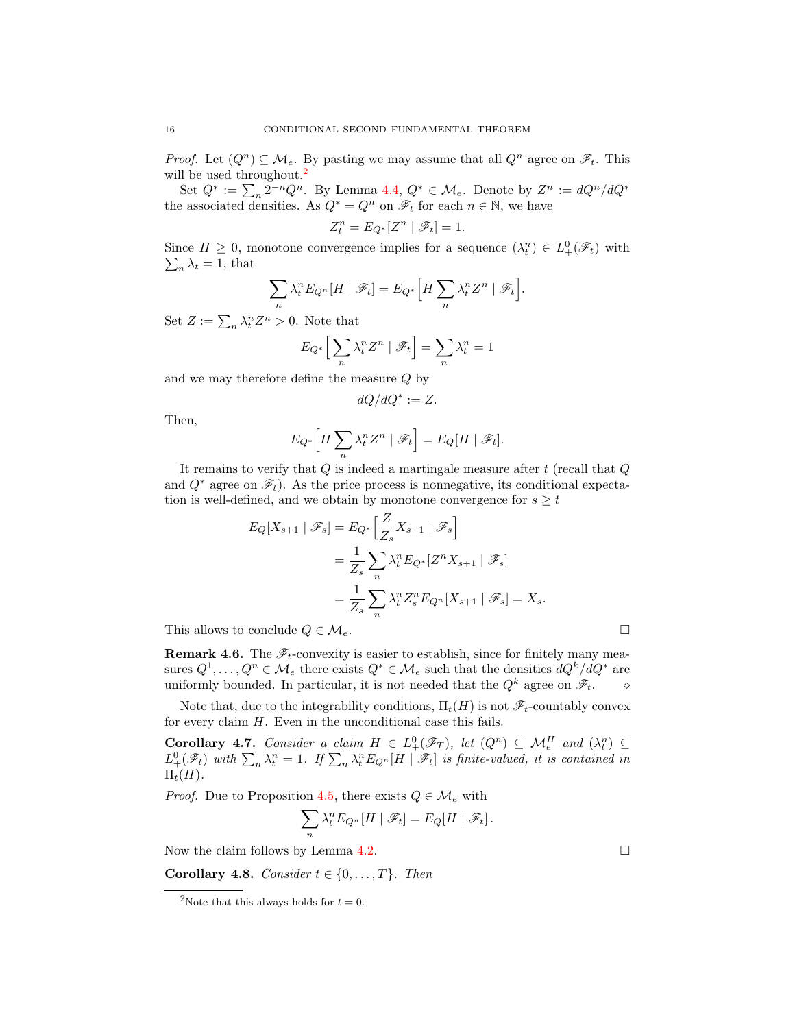*Proof.* Let  $(Q^n) \subseteq \mathcal{M}_e$ . By pasting we may assume that all  $Q^n$  agree on  $\mathscr{F}_t$ . This will be used throughout.<sup>[2](#page-15-1)</sup>

Set  $Q^* := \sum_n 2^{-n} Q^n$ . By Lemma [4.4,](#page-14-0)  $Q^* \in \mathcal{M}_e$ . Denote by  $Z^n := dQ^n/dQ^*$ the associated densities. As  $Q^* = Q^n$  on  $\mathscr{F}_t$  for each  $n \in \mathbb{N}$ , we have

$$
Z_t^n = E_{Q^*}[Z^n | \mathcal{F}_t] = 1.
$$

Since  $H \geq 0$ , monotone convergence implies for a sequence  $(\lambda_t^n) \in L^0_+(\mathscr{F}_t)$  with  $\sum_{n} \lambda_t = 1$ , that

$$
\sum_{n} \lambda_t^n E_{Q^n}[H \mid \mathscr{F}_t] = E_{Q^*}\Big[H \sum_{n} \lambda_t^n Z^n \mid \mathscr{F}_t\Big].
$$

Set  $Z := \sum_n \lambda_t^n Z^n > 0$ . Note that

$$
E_{Q^*} \Big[ \sum_n \lambda_t^n Z^n \mid \mathscr{F}_t \Big] = \sum_n \lambda_t^n = 1
$$

and we may therefore define the measure Q by

$$
dQ/dQ^* := Z.
$$

Then,

$$
E_{Q^*}\left[H\sum_n \lambda_t^n Z^n \mid \mathscr{F}_t\right] = E_Q[H \mid \mathscr{F}_t].
$$

It remains to verify that  $Q$  is indeed a martingale measure after  $t$  (recall that  $Q$ and  $Q^*$  agree on  $\mathscr{F}_t$ ). As the price process is nonnegative, its conditional expectation is well-defined, and we obtain by monotone convergence for  $s \geq t$ 

$$
E_Q[X_{s+1} | \mathscr{F}_s] = E_{Q^*} \Big[ \frac{Z}{Z_s} X_{s+1} | \mathscr{F}_s \Big]
$$
  
=  $\frac{1}{Z_s} \sum_n \lambda_t^n E_{Q^*} [Z^n X_{s+1} | \mathscr{F}_s]$   
=  $\frac{1}{Z_s} \sum_n \lambda_t^n Z_s^n E_{Q^n} [X_{s+1} | \mathscr{F}_s] = X_s.$ 

This allows to conclude  $Q \in \mathcal{M}_e$ .

**Remark 4.6.** The  $\mathscr{F}_t$ -convexity is easier to establish, since for finitely many measures  $Q^1, \ldots, Q^n \in \mathcal{M}_e$  there exists  $Q^* \in \mathcal{M}_e$  such that the densities  $dQ^k/dQ^*$  are uniformly bounded. In particular, it is not needed that the Q<sup>k</sup> agree on Ft. ⋄

Note that, due to the integrability conditions,  $\Pi_t(H)$  is not  $\mathscr{F}_t$ -countably convex for every claim  $H$ . Even in the unconditional case this fails.

Corollary 4.7. *Consider a claim*  $H \in L^0_+(\mathscr{F}_T)$ , let  $(Q^n) \subseteq \mathcal{M}_e^H$  and  $(\lambda_t^n) \subseteq$  $L_+^0(\mathscr{F}_t)$  with  $\sum_n \lambda_t^n = 1$ . If  $\sum_n \lambda_t^n E_{Q^n}[H \mid \mathscr{F}_t]$  is finite-valued, it is contained in  $\Pi_t(H)$ .

*Proof.* Due to Proposition [4.5,](#page-14-1) there exists  $Q \in \mathcal{M}_e$  with

$$
\sum_{n} \lambda_t^n E_{Q^n}[H \mid \mathscr{F}_t] = E_Q[H \mid \mathscr{F}_t].
$$

Now the claim follows by Lemma [4.2.](#page-13-4)  $\Box$ 

<span id="page-15-0"></span>**Corollary 4.8.** *Consider*  $t \in \{0, \ldots, T\}$ *. Then* 

<span id="page-15-1"></span><sup>&</sup>lt;sup>2</sup>Note that this always holds for  $t = 0$ .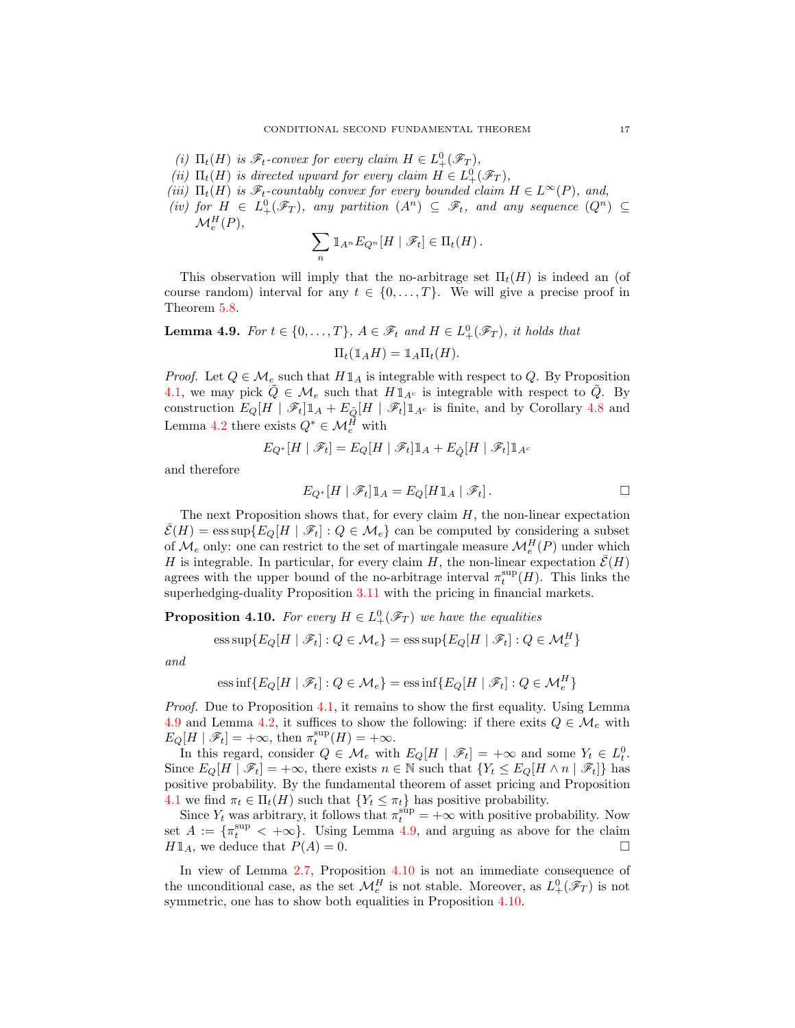- *(i)*  $\Pi_t(H)$  *is*  $\mathscr{F}_t$ -convex for every claim  $H \in L^0_+(\mathscr{F}_T)$ ,
- (*ii*)  $\Pi_t(H)$  *is directed upward for every claim*  $H \in L^0_+(\mathscr{F}_T)$ *,*
- *(iii)*  $\Pi_t(H)$  *is*  $\mathscr{F}_t$ -countably convex for every bounded claim  $H \in L^{\infty}(P)$ , and,
- $(iv)$  for  $H \in L^0_+(\mathscr{F}_T)$ , any partition  $(A^n) \subseteq \mathscr{F}_t$ , and any sequence  $(Q^n) \subseteq$  $\mathcal{M}_e^H(P),$

$$
\sum_{n} \mathbb{1}_{A^n} E_{Q^n}[H \mid \mathscr{F}_t] \in \Pi_t(H).
$$

This observation will imply that the no-arbitrage set  $\Pi_t(H)$  is indeed an (of course random) interval for any  $t \in \{0, ..., T\}$ . We will give a precise proof in Theorem [5.8.](#page-19-0)

<span id="page-16-0"></span>**Lemma 4.9.** For 
$$
t \in \{0, ..., T\}
$$
,  $A \in \mathcal{F}_t$  and  $H \in L^0_+(\mathcal{F}_T)$ , it holds that  

$$
\Pi_t(\mathbb{1}_A H) = \mathbb{1}_A \Pi_t(H).
$$

*Proof.* Let  $Q \in \mathcal{M}_e$  such that  $H1_A$  is integrable with respect to Q. By Proposition [4.1,](#page-13-2) we may pick  $\tilde{Q} \in \mathcal{M}_e$  such that  $H\mathbb{1}_{A^c}$  is integrable with respect to  $\tilde{Q}$ . By construction  $E_Q[H \mid \mathscr{F}_t] \mathbb{1}_A + E_{\tilde{Q}}[H \mid \mathscr{F}_t] \mathbb{1}_{A^c}$  is finite, and by Corollary [4.8](#page-15-0) and Lemma [4.2](#page-13-4) there exists  $Q^* \in \mathcal{M}_e^H$  with

$$
E_{Q^*}[H \mid \mathscr{F}_t] = E_Q[H \mid \mathscr{F}_t] \mathbbm{1}_A + E_{\tilde{Q}}[H \mid \mathscr{F}_t] \mathbbm{1}_{A^c}
$$

and therefore

$$
E_{Q^*}[H \mid \mathscr{F}_t] \mathbb{1}_A = E_Q[H \mathbb{1}_A \mid \mathscr{F}_t].
$$

The next Proposition shows that, for every claim  $H$ , the non-linear expectation  $\bar{\mathcal{E}}(H) = \mathrm{ess\,sup} \{E_Q[H \mid \mathscr{F}_t] : Q \in \mathcal{M}_e\}$  can be computed by considering a subset of  $\mathcal{M}_e$  only: one can restrict to the set of martingale measure  $\mathcal{M}_e^H(P)$  under which H is integrable. In particular, for every claim H, the non-linear expectation  $\bar{\mathcal{E}}(H)$ agrees with the upper bound of the no-arbitrage interval  $\pi_t^{\text{sup}}(H)$ . This links the superhedging-duality Proposition [3.11](#page-11-0) with the pricing in financial markets.

<span id="page-16-1"></span>**Proposition 4.10.** For every  $H \in L^0_+(\mathscr{F}_T)$  we have the equalities

 $\text{ess}\sup\{E_Q[H\mid \mathscr{F}_t]: Q\in \mathcal{M}_e\} = \text{ess}\sup\{E_Q[H\mid \mathscr{F}_t]: Q\in \mathcal{M}_e^H\}$ 

*and*

ess inf
$$
\{E_Q[H \mid \mathcal{F}_t] : Q \in \mathcal{M}_e\}
$$
 = ess inf $\{E_Q[H \mid \mathcal{F}_t] : Q \in \mathcal{M}_e^H\}$ 

*Proof.* Due to Proposition [4.1,](#page-13-2) it remains to show the first equality. Using Lemma [4.9](#page-16-0) and Lemma [4.2,](#page-13-4) it suffices to show the following: if there exits  $Q \in \mathcal{M}_e$  with  $E_Q[H | \mathscr{F}_t] = +\infty$ , then  $\pi_t^{\sup}(H) = +\infty$ .

In this regard, consider  $Q \in \mathcal{M}_e$  with  $E_Q[H \mid \mathscr{F}_t] = +\infty$  and some  $Y_t \in L_t^0$ . Since  $E_Q[H \mid \mathscr{F}_t] = +\infty$ , there exists  $n \in \mathbb{N}$  such that  $\{Y_t \leq E_Q[H \wedge n \mid \mathscr{F}_t]\}$  has positive probability. By the fundamental theorem of asset pricing and Proposition [4.1](#page-13-2) we find  $\pi_t \in \Pi_t(H)$  such that  $\{Y_t \leq \pi_t\}$  has positive probability.

Since  $Y_t$  was arbitrary, it follows that  $\pi_t^{\text{sup}} = +\infty$  with positive probability. Now set  $A := \{\pi_t^{\sup} < +\infty\}$ . Using Lemma [4.9,](#page-16-0) and arguing as above for the claim  $H1_A$ , we deduce that  $P(A) = 0$ .

In view of Lemma [2.7,](#page-6-1) Proposition [4.10](#page-16-1) is not an immediate consequence of the unconditional case, as the set  $\mathcal{M}_e^H$  is not stable. Moreover, as  $L^0_+(\mathscr{F}_T)$  is not symmetric, one has to show both equalities in Proposition  $4.10$ .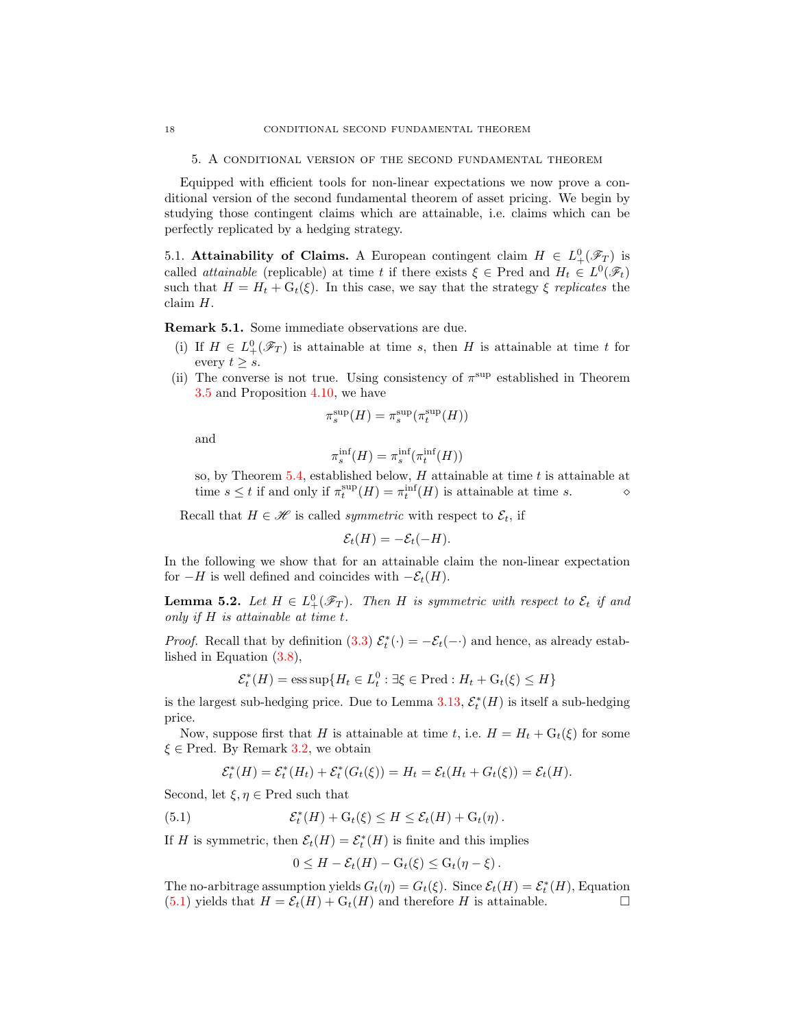<span id="page-17-1"></span>5. A conditional version of the second fundamental theorem

Equipped with efficient tools for non-linear expectations we now prove a conditional version of the second fundamental theorem of asset pricing. We begin by studying those contingent claims which are attainable, i.e. claims which can be perfectly replicated by a hedging strategy.

<span id="page-17-0"></span>5.1. Attainability of Claims. A European contingent claim  $H \in L^0_+(\mathscr{F}_T)$  is called *attainable* (replicable) at time t if there exists  $\xi \in \text{Pred}$  and  $H_t \in L^0(\mathscr{F}_t)$ such that  $H = H_t + G_t(\xi)$ . In this case, we say that the strategy  $\xi$  *replicates* the claim H.

Remark 5.1. Some immediate observations are due.

- (i) If  $H \in L^0_+(\mathscr{F}_T)$  is attainable at time s, then H is attainable at time t for every  $t \geq s$ .
- (ii) The converse is not true. Using consistency of  $\pi^{\text{sup}}$  established in Theorem [3.5](#page-9-0) and Proposition [4.10,](#page-16-1) we have

$$
\pi^{\sup}_s(H)=\pi^{\sup}_s(\pi^{\sup}_t(H))
$$

and

$$
\pi_s^{\text{inf}}(H) = \pi_s^{\text{inf}}(\pi_t^{\text{inf}}(H))
$$

so, by Theorem  $5.4$ , established below, H attainable at time t is attainable at time  $s \leq t$  if and only if  $\pi_t^{\text{sup}}(H) = \pi_t^{\text{inf}}(H)$  is attainable at time s.  $\diamond$ 

Recall that  $H \in \mathcal{H}$  is called *symmetric* with respect to  $\mathcal{E}_t$ , if

$$
\mathcal{E}_t(H) = -\mathcal{E}_t(-H).
$$

In the following we show that for an attainable claim the non-linear expectation for  $-H$  is well defined and coincides with  $-\mathcal{E}_t(H)$ .

<span id="page-17-2"></span>**Lemma 5.2.** Let  $H \in L^0_+(\mathscr{F}_T)$ . Then H is symmetric with respect to  $\mathcal{E}_t$  if and *only if* H *is attainable at time* t*.*

*Proof.* Recall that by definition [\(3.3\)](#page-7-2)  $\mathcal{E}_t^*(\cdot) = -\mathcal{E}_t(-\cdot)$  and hence, as already established in Equation [\(3.8\)](#page-10-4),

$$
\mathcal{E}_t^*(H) = \operatorname{ess\,sup}\{H_t \in L_t^0 : \exists \xi \in \operatorname{Pred} : H_t + \operatorname{G}_t(\xi) \le H\}
$$

is the largest sub-hedging price. Due to Lemma [3.13,](#page-12-2)  $\mathcal{E}_{t}^{*}(H)$  is itself a sub-hedging price.

Now, suppose first that H is attainable at time t, i.e.  $H = H_t + G_t(\xi)$  for some  $\xi \in$  Pred. By Remark [3.2,](#page-8-2) we obtain

$$
\mathcal{E}_t^*(H) = \mathcal{E}_t^*(H_t) + \mathcal{E}_t^*(G_t(\xi)) = H_t = \mathcal{E}_t(H_t + G_t(\xi)) = \mathcal{E}_t(H).
$$

Second, let  $\xi, \eta \in \text{Pred}$  such that

<span id="page-17-3"></span>(5.1) 
$$
\mathcal{E}_t^*(H) + \mathrm{G}_t(\xi) \leq H \leq \mathcal{E}_t(H) + \mathrm{G}_t(\eta).
$$

If H is symmetric, then  $\mathcal{E}_t(H) = \mathcal{E}_t^*(H)$  is finite and this implies

$$
0 \leq H - \mathcal{E}_t(H) - G_t(\xi) \leq G_t(\eta - \xi).
$$

The no-arbitrage assumption yields  $G_t(\eta) = G_t(\xi)$ . Since  $\mathcal{E}_t(H) = \mathcal{E}_t^*(H)$ , Equation  $(5.1)$  yields that  $H = \mathcal{E}_t(H) + G_t(H)$  and therefore H is attainable.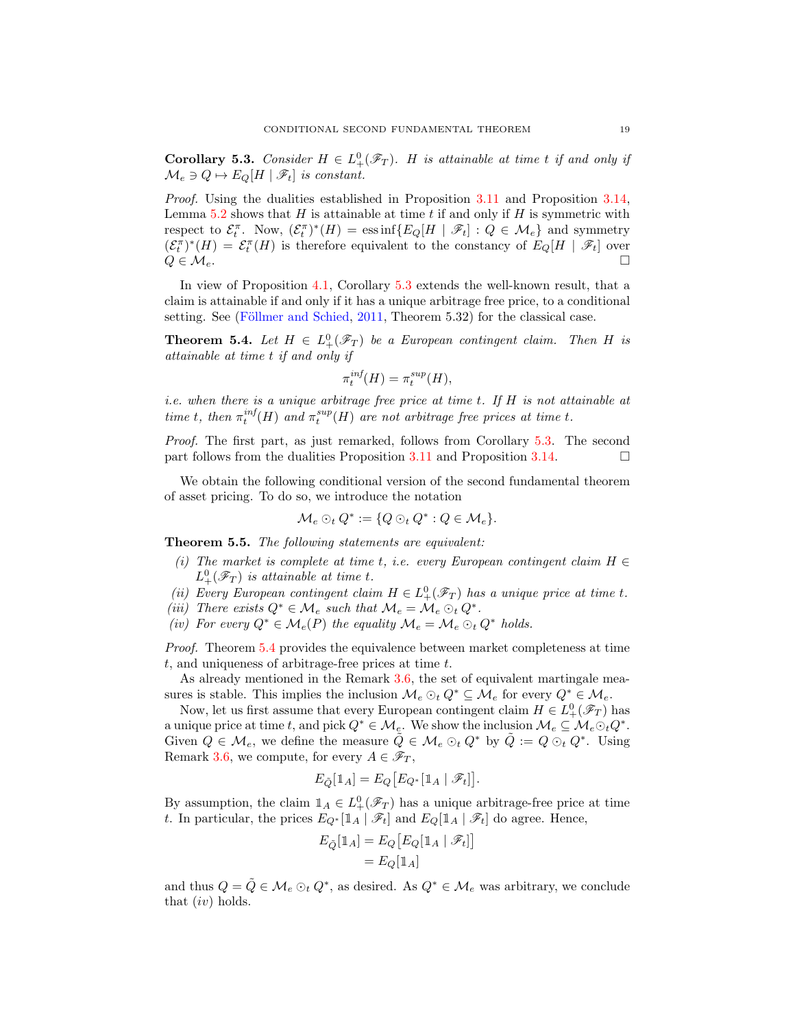<span id="page-18-2"></span>**Corollary 5.3.** *Consider*  $H \in L^0_+(\mathscr{F}_T)$ *. H is attainable at time t if and only if*  $\mathcal{M}_e \ni Q \mapsto E_O[H \mid \mathscr{F}_t]$  *is constant.* 

*Proof.* Using the dualities established in Proposition [3.11](#page-11-0) and Proposition [3.14,](#page-12-0) Lemma [5.2](#page-17-2) shows that  $H$  is attainable at time t if and only if  $H$  is symmetric with respect to  $\mathcal{E}_t^{\pi}$ . Now,  $(\mathcal{E}_t^{\pi})^*(H) = \text{ess}\inf \{ E_Q[H | \mathcal{F}_t] : Q \in \mathcal{M}_e \}$  and symmetry  $(\mathcal{E}_t^{\pi})^*(H) = \mathcal{E}_t^{\pi}(H)$  is therefore equivalent to the constancy of  $E_Q[H | \mathcal{F}_t]$  over  $Q \in \mathcal{M}_e$ .

In view of Proposition [4.1,](#page-13-2) Corollary [5.3](#page-18-2) extends the well-known result, that a claim is attainable if and only if it has a unique arbitrage free price, to a conditional setting. See (Föllmer and Schied,  $2011$ , Theorem 5.32) for the classical case.

<span id="page-18-1"></span>**Theorem 5.4.** Let  $H \in L^0_+(\mathscr{F}_T)$  be a European contingent claim. Then H is *attainable at time* t *if and only if*

$$
\pi_t^{inf}(H) = \pi_t^{sup}(H),
$$

*i.e. when there is a unique arbitrage free price at time* t*. If* H *is not attainable at time t*, *then*  $\pi_t^{inf}(H)$  *and*  $\pi_t^{sup}(H)$  *are not arbitrage free prices at time t*.

*Proof.* The first part, as just remarked, follows from Corollary [5.3.](#page-18-2) The second part follows from the dualities Proposition [3.11](#page-11-0) and Proposition [3.14.](#page-12-0)  $\Box$ 

We obtain the following conditional version of the second fundamental theorem of asset pricing. To do so, we introduce the notation

$$
\mathcal{M}_e \odot_t Q^* := \{Q \odot_t Q^* : Q \in \mathcal{M}_e\}.
$$

<span id="page-18-0"></span>Theorem 5.5. *The following statements are equivalent:*

- *(i)* The market is complete at time t, i.e. every European contingent claim  $H \in$  $L_+^0(\mathscr{F}_T)$  *is attainable at time t.*
- *(ii)* Every European contingent claim  $H \in L^0_+(\mathscr{F}_T)$  has a unique price at time t.
- *(iii)* There exists  $Q^* \in \mathcal{M}_e$  such that  $\mathcal{M}_e = \mathcal{M}_e \odot_t Q^*$ .
- *(iv)* For every  $Q^* \in \mathcal{M}_e(P)$  the equality  $\mathcal{M}_e = \mathcal{M}_e \odot_t Q^*$  holds.

*Proof.* Theorem [5.4](#page-18-1) provides the equivalence between market completeness at time t, and uniqueness of arbitrage-free prices at time t.

As already mentioned in the Remark [3.6,](#page-9-1) the set of equivalent martingale measures is stable. This implies the inclusion  $\mathcal{M}_e \odot_t Q^* \subseteq \mathcal{M}_e$  for every  $Q^* \in \mathcal{M}_e$ .

Now, let us first assume that every European contingent claim  $H \in L^0_+(\mathscr{F}_T)$  has a unique price at time t, and pick  $Q^* \in \mathcal{M}_e$ . We show the inclusion  $\mathcal{M}_e \subseteq \mathcal{M}_e \odot_t Q^*$ . Given  $Q \in \mathcal{M}_e$ , we define the measure  $\tilde{Q} \in \mathcal{M}_e \odot_t Q^*$  by  $\tilde{Q} := Q \odot_t Q^*$ . Using Remark [3.6,](#page-9-1) we compute, for every  $A \in \mathscr{F}_T$ ,

$$
E_{\tilde{Q}}[\mathbb{1}_A] = E_Q[E_{Q^*}[\mathbb{1}_A | \mathscr{F}_t]].
$$

By assumption, the claim  $\mathbb{1}_A \in L^0_+(\mathscr{F}_T)$  has a unique arbitrage-free price at time t. In particular, the prices  $E_{Q^*}[\mathbbm{1}_A \mid \mathscr{F}_t]$  and  $E_Q[\mathbbm{1}_A \mid \mathscr{F}_t]$  do agree. Hence,

$$
E_{\tilde{Q}}[\mathbbm{1}_A] = E_Q[E_Q[\mathbbm{1}_A | \mathscr{F}_t]]
$$
  
= 
$$
E_Q[\mathbbm{1}_A]
$$

and thus  $Q = \tilde{Q} \in \mathcal{M}_e \odot_t Q^*$ , as desired. As  $Q^* \in \mathcal{M}_e$  was arbitrary, we conclude that  $(iv)$  holds.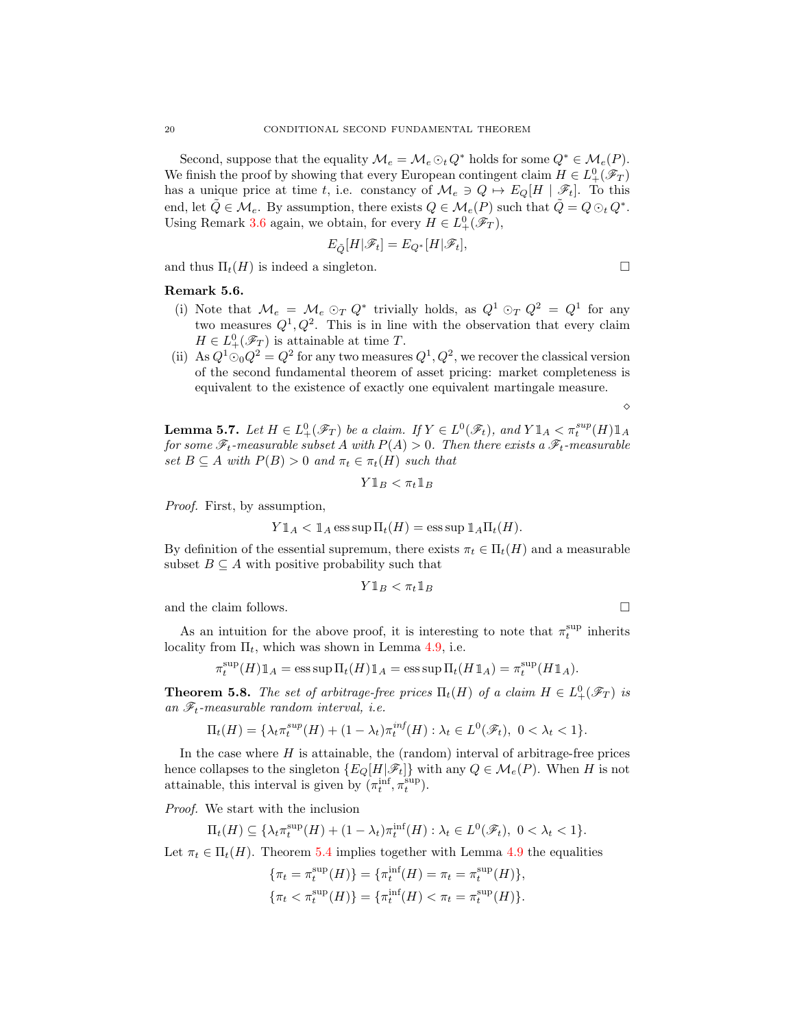Second, suppose that the equality  $\mathcal{M}_e = \mathcal{M}_e \odot_t Q^*$  holds for some  $Q^* \in \mathcal{M}_e(P)$ . We finish the proof by showing that every European contingent claim  $H \in L^0_+(\mathscr{F}_T)$ has a unique price at time t, i.e. constancy of  $\mathcal{M}_e \ni Q \mapsto E_Q[H \mid \mathscr{F}_t]$ . To this end, let  $\tilde{Q} \in \mathcal{M}_e$ . By assumption, there exists  $Q \in \mathcal{M}_e(P)$  such that  $\tilde{Q} = Q \odot_t Q^*$ . Using Remark [3.6](#page-9-1) again, we obtain, for every  $H \in L^0_+(\mathscr{F}_T)$ ,

$$
E_{\tilde{Q}}[H|\mathscr{F}_t]=E_{Q^*}[H|\mathscr{F}_t],
$$

and thus  $\Pi_t(H)$  is indeed a singleton.

Remark 5.6.

- (i) Note that  $\mathcal{M}_e = \mathcal{M}_e \odot_T Q^*$  trivially holds, as  $Q^1 \odot_T Q^2 = Q^1$  for any two measures  $Q^1, Q^2$ . This is in line with the observation that every claim  $H \in L^0_+(\mathscr{F}_T)$  is attainable at time T.
- (ii) As  $Q^1 \odot Q^2 = Q^2$  for any two measures  $Q^1, Q^2$ , we recover the classical version of the second fundamental theorem of asset pricing: market completeness is equivalent to the existence of exactly one equivalent martingale measure.

<span id="page-19-1"></span>**Lemma 5.7.** Let  $H \in L^0_+(\mathscr{F}_T)$  be a claim. If  $Y \in L^0(\mathscr{F}_t)$ , and  $Y \mathbb{1}_A < \pi_t^{sup}(H) \mathbb{1}_A$ *for some*  $\mathscr{F}_t$ -measurable subset A with  $P(A) > 0$ . Then there exists a  $\mathscr{F}_t$ -measurable *set*  $B \subseteq A$  *with*  $P(B) > 0$  *and*  $\pi_t \in \pi_t(H)$  *such that* 

$$
Y \mathbb{1}_B < \pi_t \mathbb{1}_B
$$

*Proof.* First, by assumption,

$$
Y \mathbb{1}_A < \mathbb{1}_A
$$
ess sup  $\Pi_t(H) = \text{ess sup } \mathbb{1}_A \Pi_t(H)$ .

By definition of the essential supremum, there exists  $\pi_t \in \Pi_t(H)$  and a measurable subset  $B \subseteq A$  with positive probability such that

$$
Y \mathbb{1}_B < \pi_t \mathbb{1}_B
$$

and the claim follows.  $\Box$ 

As an intuition for the above proof, it is interesting to note that  $\pi_t^{\text{sup}}$  inherits locality from  $\Pi_t$ , which was shown in Lemma [4.9,](#page-16-0) i.e.

$$
\pi_t^{\text{sup}}(H) \mathbb{1}_A = \text{ess}\sup \Pi_t(H) \mathbb{1}_A = \text{ess}\sup \Pi_t(H \mathbb{1}_A) = \pi_t^{\text{sup}}(H \mathbb{1}_A).
$$

<span id="page-19-0"></span>**Theorem 5.8.** *The set of arbitrage-free prices*  $\Pi_t(H)$  *of a claim*  $H \in L^0_+(\mathscr{F}_T)$  *is* an  $\mathscr{F}_t$ -measurable random interval, *i.e.* 

$$
\Pi_t(H) = \{\lambda_t \pi_t^{sup}(H) + (1 - \lambda_t) \pi_t^{inf}(H) : \lambda_t \in L^0(\mathscr{F}_t), \ 0 < \lambda_t < 1\}.
$$

In the case where  $H$  is attainable, the (random) interval of arbitrage-free prices hence collapses to the singleton  $\{E_Q[H|\mathscr{F}_t]\}$  with any  $Q \in \mathcal{M}_e(P)$ . When H is not attainable, this interval is given by  $(\pi_t^{\text{inf}}, \pi_t^{\text{sup}})$ .

*Proof.* We start with the inclusion

$$
\Pi_t(H) \subseteq \{\lambda_t \pi_t^{\sup}(H) + (1 - \lambda_t) \pi_t^{\inf}(H) : \lambda_t \in L^0(\mathscr{F}_t), \ 0 < \lambda_t < 1\}.
$$

Let  $\pi_t \in \Pi_t(H)$ . Theorem [5.4](#page-18-1) implies together with Lemma [4.9](#page-16-0) the equalities

$$
\{\pi_t = \pi_t^{\text{sup}}(H)\} = \{\pi_t^{\text{inf}}(H) = \pi_t = \pi_t^{\text{sup}}(H)\},
$$
  

$$
\{\pi_t < \pi_t^{\text{sup}}(H)\} = \{\pi_t^{\text{inf}}(H) < \pi_t = \pi_t^{\text{sup}}(H)\}.
$$

$$
\sqcup
$$

⋄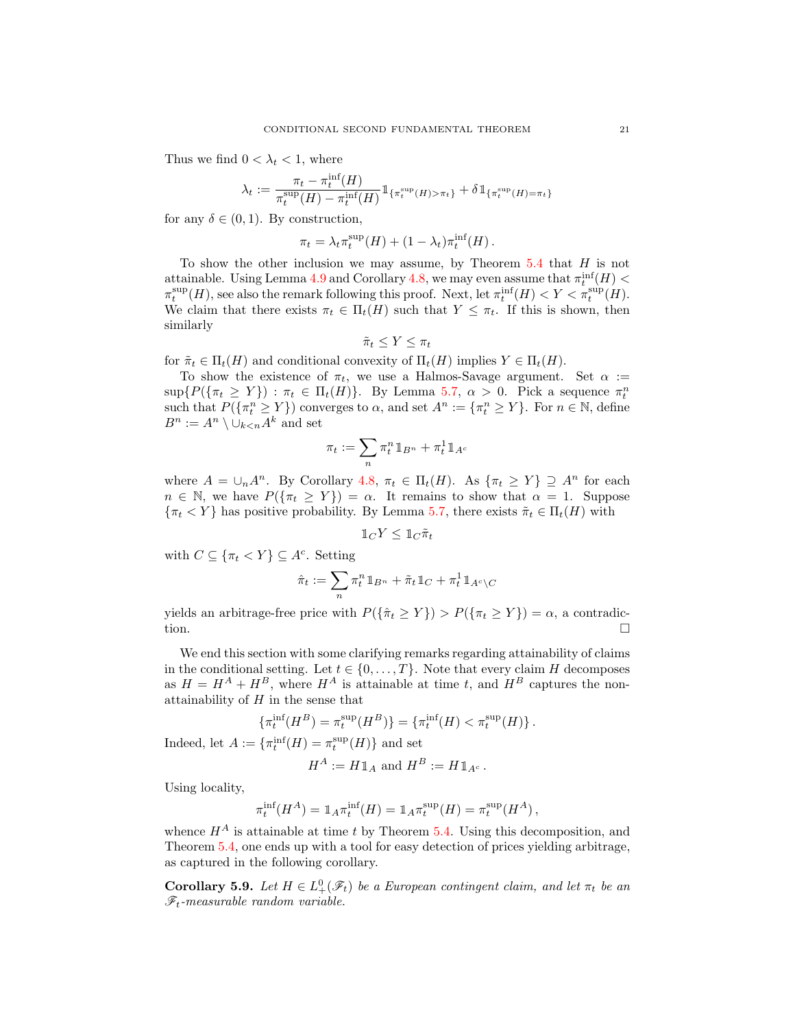Thus we find  $0 < \lambda_t < 1$ , where

$$
\lambda_t := \frac{\pi_t - \pi_t^{\text{inf}}(H)}{\pi_t^{\text{sup}}(H) - \pi_t^{\text{inf}}(H)} \mathbb{1}_{\{\pi_t^{\text{sup}}(H) > \pi_t\}} + \delta \mathbb{1}_{\{\pi_t^{\text{sup}}(H) = \pi_t\}}
$$

for any  $\delta \in (0,1)$ . By construction,

$$
\pi_t = \lambda_t \pi_t^{\sup}(H) + (1 - \lambda_t) \pi_t^{\inf}(H).
$$

To show the other inclusion we may assume, by Theorem  $5.4$  that  $H$  is not attainable. Using Lemma [4.9](#page-16-0) and Corollary [4.8,](#page-15-0) we may even assume that  $\pi_t^{\inf}(H)$  <  $\pi_t^{\text{sup}}(H)$ , see also the remark following this proof. Next, let  $\pi_t^{\text{inf}}(H) < Y < \pi_t^{\text{sup}}(H)$ . We claim that there exists  $\pi_t \in \Pi_t(H)$  such that  $Y \leq \pi_t$ . If this is shown, then similarly

$$
\tilde{\pi}_t \leq Y \leq \pi_t
$$

for  $\tilde{\pi}_t \in \Pi_t(H)$  and conditional convexity of  $\Pi_t(H)$  implies  $Y \in \Pi_t(H)$ .

To show the existence of  $\pi_t$ , we use a Halmos-Savage argument. Set  $\alpha :=$  $\sup\{P(\{\pi_t \geq Y\}) : \pi_t \in \Pi_t(H)\}\$ . By Lemma [5.7,](#page-19-1)  $\alpha > 0$ . Pick a sequence  $\pi_t^n$ such that  $P(\lbrace \pi^n_t \geq Y \rbrace)$  converges to  $\alpha$ , and set  $A^n := \lbrace \pi^n_t \geq Y \rbrace$ . For  $n \in \mathbb{N}$ , define  $B^n := A^n \setminus \cup_{k < n} A^k$  and set

$$
\pi_t := \sum_n \pi^n_t 1\!\!1_{B^n} + \pi^1_t 1\!\!1_{A^c}
$$

where  $A = \bigcup_n A^n$ . By Corollary [4.8,](#page-15-0)  $\pi_t \in \Pi_t(H)$ . As  $\{\pi_t \geq Y\} \supseteq A^n$  for each  $n \in \mathbb{N}$ , we have  $P(\{\pi_t \geq Y\}) = \alpha$ . It remains to show that  $\alpha = 1$ . Suppose  ${\lbrace \pi_t < Y \rbrace}$  has positive probability. By Lemma [5.7,](#page-19-1) there exists  $\tilde{\pi}_t \in \Pi_t(H)$  with

$$
1\!\!1_C Y \leq 1\!\!1_C \tilde{\pi}_t
$$

with  $C \subseteq {\lbrace \pi_t < Y \rbrace} \subseteq A^c$ . Setting

$$
\hat{\pi}_t := \sum_n \pi_t^n \, \mathbbm{1}_{B^n} + \tilde{\pi}_t \, \mathbbm{1}_C + \pi_t^1 \, \mathbbm{1}_{A^c \backslash C}
$$

yields an arbitrage-free price with  $P({\lbrace \hat{\pi}_t \ge Y \rbrace}) > P({\lbrace \pi_t \ge Y \rbrace}) = \alpha$ , a contradiction.

We end this section with some clarifying remarks regarding attainability of claims in the conditional setting. Let  $t \in \{0, \ldots, T\}$ . Note that every claim H decomposes as  $H = H^A + H^B$ , where  $H^A$  is attainable at time t, and  $H^B$  captures the nonattainability of  $H$  in the sense that

$$
\{\pi_t^{\inf}(H^B)=\pi_t^{\sup}(H^B)\}=\{\pi_t^{\inf}(H)<\pi_t^{\sup}(H)\}\,.
$$

Indeed, let  $A := \{ \pi_t^{\text{inf}}(H) = \pi_t^{\text{sup}}(H) \}$  and set

$$
H^A := H1\mathbb{1}_A \text{ and } H^B := H1\mathbb{1}_{A^c}.
$$

Using locality,

$$
\pi_t^{\text{inf}}(H^A) = \mathbb{1}_A \pi_t^{\text{inf}}(H) = \mathbb{1}_A \pi_t^{\text{sup}}(H) = \pi_t^{\text{sup}}(H^A),
$$

whence  $H^A$  is attainable at time t by Theorem [5.4.](#page-18-1) Using this decomposition, and Theorem [5.4,](#page-18-1) one ends up with a tool for easy detection of prices yielding arbitrage, as captured in the following corollary.

**Corollary 5.9.** Let  $H \in L^0_+(\mathscr{F}_t)$  be a European contingent claim, and let  $\pi_t$  be an Ft*-measurable random variable.*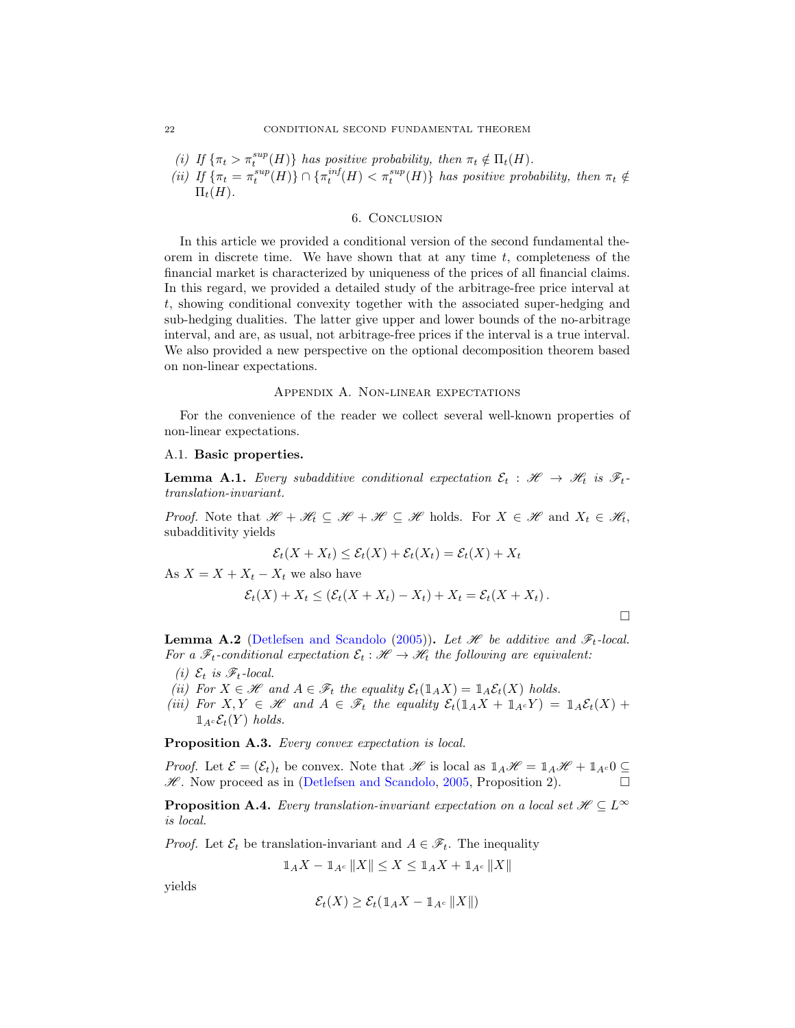\n- (i) If 
$$
\{\pi_t > \pi_t^{sup}(H)\}
$$
 has positive probability, then  $\pi_t \notin \Pi_t(H)$ .
\n- (ii) If  $\{\pi_t = \pi_t^{sup}(H)\} \cap \{\pi_t^{inf}(H) < \pi_t^{sup}(H)\}$  has positive probability, then  $\pi_t \notin \Pi_t(H)$ .
\n

#### 6. Conclusion

<span id="page-21-0"></span>In this article we provided a conditional version of the second fundamental theorem in discrete time. We have shown that at any time  $t$ , completeness of the financial market is characterized by uniqueness of the prices of all financial claims. In this regard, we provided a detailed study of the arbitrage-free price interval at t, showing conditional convexity together with the associated super-hedging and sub-hedging dualities. The latter give upper and lower bounds of the no-arbitrage interval, and are, as usual, not arbitrage-free prices if the interval is a true interval. We also provided a new perspective on the optional decomposition theorem based on non-linear expectations.

## Appendix A. Non-linear expectations

For the convenience of the reader we collect several well-known properties of non-linear expectations.

#### A.1. Basic properties.

**Lemma A.1.** *Every subadditive conditional expectation*  $\mathcal{E}_t : \mathcal{H} \to \mathcal{H}_t$  *is*  $\mathcal{F}_t$ *translation-invariant.*

*Proof.* Note that  $\mathscr{H} + \mathscr{H}_t \subseteq \mathscr{H} + \mathscr{H} \subseteq \mathscr{H}$  holds. For  $X \in \mathscr{H}$  and  $X_t \in \mathscr{H}_t$ , subadditivity yields

$$
\mathcal{E}_t(X + X_t) \le \mathcal{E}_t(X) + \mathcal{E}_t(X_t) = \mathcal{E}_t(X) + X_t
$$

As  $X = X + X_t - X_t$  we also have

$$
\mathcal{E}_t(X) + X_t \leq (\mathcal{E}_t(X + X_t) - X_t) + X_t = \mathcal{E}_t(X + X_t).
$$

 $\Box$ 

**Lemma A.2** [\(Detlefsen and Scandolo](#page-24-11) [\(2005](#page-24-11))). Let  $\mathcal{H}$  be additive and  $\mathcal{F}_t$ -local. *For a*  $\mathcal{F}_t$ -conditional expectation  $\mathcal{E}_t : \mathcal{H} \to \mathcal{H}_t$  the following are equivalent:

- *(i)*  $\mathcal{E}_t$  *is*  $\mathcal{F}_t$ *-local.*
- *(ii)* For  $X \in \mathcal{H}$  and  $A \in \mathcal{F}_t$  the equality  $\mathcal{E}_t(\mathbb{1}_A X) = \mathbb{1}_A \mathcal{E}_t(X)$  holds.
- *(iii)* For  $X, Y \in \mathcal{H}$  and  $A \in \mathcal{F}_t$  the equality  $\mathcal{E}_t(\mathbb{1}_A X + \mathbb{1}_{A^c} Y) = \mathbb{1}_A \mathcal{E}_t(X) +$  $\mathbb{1}_{A^c} \mathcal{E}_t(Y)$  *holds.*

Proposition A.3. *Every convex expectation is local.*

*Proof.* Let  $\mathcal{E} = (\mathcal{E}_t)_t$  be convex. Note that H is local as  $1_A\mathcal{H} = 1_A\mathcal{H} + 1_{A^c}0 \subseteq$  $\mathscr{H}$ . Now proceed as in [\(Detlefsen and Scandolo](#page-24-11), [2005](#page-24-11), Proposition 2).

<span id="page-21-1"></span>**Proposition A.4.** *Every translation-invariant expectation on a local set*  $\mathcal{H} \subseteq L^{\infty}$ *is local.*

*Proof.* Let  $\mathcal{E}_t$  be translation-invariant and  $A \in \mathcal{F}_t$ . The inequality

$$
1\!\!1_A X - 1\!\!1_{A^c} \|X\| \le X \le 1\!\!1_A X + 1\!\!1_{A^c} \|X\|
$$

yields

$$
\mathcal{E}_t(X) \ge \mathcal{E}_t(\mathbb{1}_A X - \mathbb{1}_{A^c} ||X||)
$$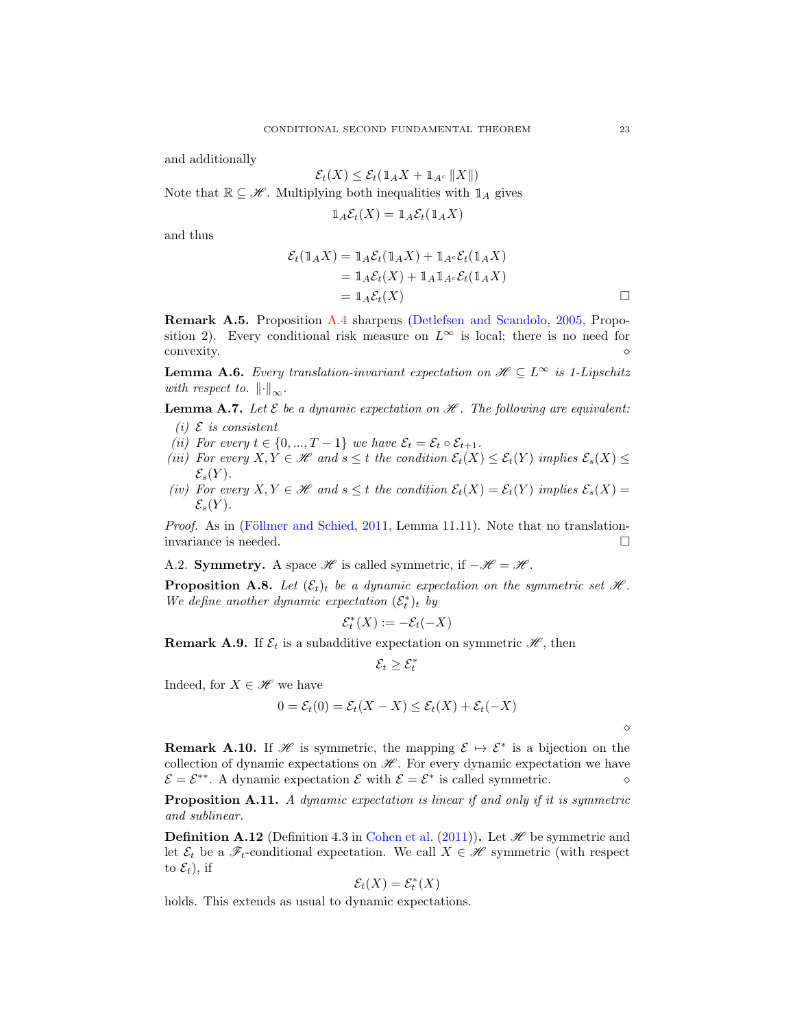and additionally

$$
\mathcal{E}_t(X) \le \mathcal{E}_t(\mathbb{1}_A X + \mathbb{1}_{A^c} ||X||)
$$

Note that  $\mathbb{R} \subseteq \mathcal{H}$ . Multiplying both inequalities with  $\mathbb{1}_A$  gives

$$
1\!\!1_A\mathcal{E}_t(X) = 1\!\!1_A\mathcal{E}_t(1\!\!1_A X)
$$

and thus

$$
\mathcal{E}_t(\mathbb{1}_A X) = \mathbb{1}_A \mathcal{E}_t(\mathbb{1}_A X) + \mathbb{1}_{A^c} \mathcal{E}_t(\mathbb{1}_A X)
$$
  
=  $\mathbb{1}_A \mathcal{E}_t(X) + \mathbb{1}_A \mathbb{1}_{A^c} \mathcal{E}_t(\mathbb{1}_A X)$   
=  $\mathbb{1}_A \mathcal{E}_t(X)$ 

Remark A.5. Proposition [A.4](#page-21-1) sharpens [\(Detlefsen and Scandolo](#page-24-11), [2005,](#page-24-11) Proposition 2). Every conditional risk measure on  $L^{\infty}$  is local; there is no need for  $\infty$  convexity.  $\diamond$ 

**Lemma A.6.** *Every translation-invariant expectation on*  $\mathcal{H} \subseteq L^{\infty}$  *is 1-Lipschitz with respect to.*  $\|\cdot\|_{\infty}$ *.* 

**Lemma A.7.** Let  $\mathcal E$  be a dynamic expectation on  $\mathcal H$ . The following are equivalent:

- $(i)$   $E$  *is consistent*
- *(ii)* For every  $t \in \{0, ..., T-1\}$  *we have*  $\mathcal{E}_t = \mathcal{E}_t \circ \mathcal{E}_{t+1}$ *.*
- *(iii)* For every  $X, Y \in \mathcal{H}$  and  $s \leq t$  the condition  $\mathcal{E}_t(X) \leq \mathcal{E}_t(Y)$  implies  $\mathcal{E}_s(X) \leq$  $\mathcal{E}_s(Y)$ .
- *(iv)* For every  $X, Y \in \mathcal{H}$  and  $s \leq t$  the condition  $\mathcal{E}_t(X) = \mathcal{E}_t(Y)$  implies  $\mathcal{E}_s(X) =$  $\mathcal{E}_s(Y)$ .

*Proof.* As in (Föllmer and Schied, [2011](#page-24-7), Lemma 11.11). Note that no translationinvariance is needed.

<span id="page-22-0"></span>A.2. Symmetry. A space  $\mathscr H$  is called symmetric, if  $-\mathscr H = \mathscr H$ .

**Proposition A.8.** Let  $(\mathcal{E}_t)_t$  be a dynamic expectation on the symmetric set  $\mathcal{H}$ . We define another dynamic expectation  $(\mathcal{E}_t^*)_t$  by

$$
\mathcal{E}_t^*(X):=-\mathcal{E}_t(-X)
$$

**Remark A.9.** If  $\mathcal{E}_t$  is a subadditive expectation on symmetric  $\mathcal{H}$ , then

$$
\mathcal{E}_t \geq \mathcal{E}^*_t
$$

Indeed, for  $X \in \mathcal{H}$  we have

$$
0 = \mathcal{E}_t(0) = \mathcal{E}_t(X - X) \le \mathcal{E}_t(X) + \mathcal{E}_t(-X)
$$

⋄

**Remark A.10.** If H is symmetric, the mapping  $\mathcal{E} \mapsto \mathcal{E}^*$  is a bijection on the collection of dynamic expectations on  $\mathscr{H}$ . For every dynamic expectation we have  $\mathcal{E} = \mathcal{E}^{**}$ . A dynamic expectation  $\mathcal{E}$  with  $\mathcal{E} = \mathcal{E}^*$  is called symmetric.  $\diamond$ 

Proposition A.11. *A dynamic expectation is linear if and only if it is symmetric and sublinear.*

**Definition A.12** (Definition 4.3 in [Cohen et al.](#page-23-13) [\(2011\)](#page-23-13)). Let  $\mathcal{H}$  be symmetric and let  $\mathcal{E}_t$  be a  $\mathscr{F}_t$ -conditional expectation. We call  $X \in \mathscr{H}$  symmetric (with respect to  $\mathcal{E}_t$ ), if

$$
\mathcal{E}_t(X) = \mathcal{E}_t^*(X)
$$

holds. This extends as usual to dynamic expectations.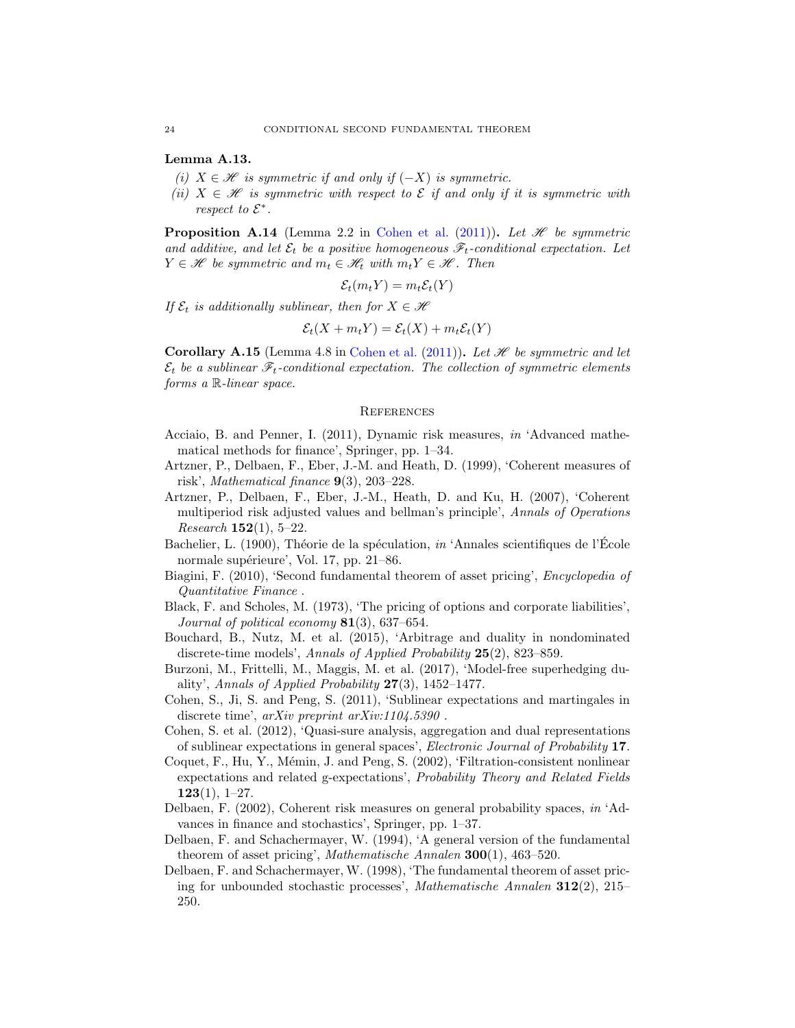Lemma A.13.

- *(i)*  $X \in \mathcal{H}$  *is symmetric if and only if*  $(-X)$  *is symmetric.*
- *(ii)*  $X \in \mathcal{H}$  *is symmetric with respect to*  $\mathcal{E}$  *if and only if it is symmetric with respect to*  $\mathcal{E}^*$ .

<span id="page-23-11"></span>**Proposition A.14** (Lemma 2.2 in [Cohen et al.](#page-23-13) [\(2011\)](#page-23-13)). Let  $\mathcal{H}$  be symmetric and additive, and let  $\mathcal{E}_t$  be a positive homogeneous  $\mathcal{F}_t$ -conditional expectation. Let  $Y \in \mathcal{H}$  be symmetric and  $m_t \in \mathcal{H}$  with  $m_t Y \in \mathcal{H}$ . Then

$$
\mathcal{E}_t(m_t Y) = m_t \mathcal{E}_t(Y)
$$

*If*  $\mathcal{E}_t$  *is additionally sublinear, then for*  $X \in \mathcal{H}$ 

$$
\mathcal{E}_t(X + m_t Y) = \mathcal{E}_t(X) + m_t \mathcal{E}_t(Y)
$$

**Corollary A.15** (Lemma 4.8 in [Cohen et al.](#page-23-13) [\(2011](#page-23-13))). Let  $\mathcal{H}$  be symmetric and let  $\mathcal{E}_t$  be a sublinear  $\mathcal{F}_t$ -conditional expectation. The collection of symmetric elements *forms a* R*-linear space.*

#### **REFERENCES**

- <span id="page-23-8"></span>Acciaio, B. and Penner, I. (2011), Dynamic risk measures, *in* 'Advanced mathematical methods for finance', Springer, pp. 1–34.
- <span id="page-23-6"></span>Artzner, P., Delbaen, F., Eber, J.-M. and Heath, D. (1999), 'Coherent measures of risk', *Mathematical finance* 9(3), 203–228.
- <span id="page-23-10"></span>Artzner, P., Delbaen, F., Eber, J.-M., Heath, D. and Ku, H. (2007), 'Coherent multiperiod risk adjusted values and bellman's principle', *Annals of Operations Research* 152(1), 5–22.
- Bachelier, L. (1900), Théorie de la spéculation, *in* 'Annales scientifiques de l'École normale supérieure', Vol. 17, pp. 21–86.
- <span id="page-23-3"></span>Biagini, F. (2010), 'Second fundamental theorem of asset pricing', *Encyclopedia of Quantitative Finance* .
- <span id="page-23-0"></span>Black, F. and Scholes, M. (1973), 'The pricing of options and corporate liabilities', *Journal of political economy* 81(3), 637–654.
- <span id="page-23-5"></span>Bouchard, B., Nutz, M. et al. (2015), 'Arbitrage and duality in nondominated discrete-time models', *Annals of Applied Probability* 25(2), 823–859.
- <span id="page-23-12"></span>Burzoni, M., Frittelli, M., Maggis, M. et al. (2017), 'Model-free superhedging duality', *Annals of Applied Probability* 27(3), 1452–1477.
- <span id="page-23-13"></span>Cohen, S., Ji, S. and Peng, S. (2011), 'Sublinear expectations and martingales in discrete time', *arXiv preprint arXiv:1104.5390* .
- <span id="page-23-9"></span>Cohen, S. et al. (2012), 'Quasi-sure analysis, aggregation and dual representations of sublinear expectations in general spaces', *Electronic Journal of Probability* 17.
- <span id="page-23-4"></span>Coquet, F., Hu, Y., Mémin, J. and Peng, S. (2002), 'Filtration-consistent nonlinear expectations and related g-expectations', *Probability Theory and Related Fields*  $123(1), 1-27.$
- <span id="page-23-7"></span>Delbaen, F. (2002), Coherent risk measures on general probability spaces, *in* 'Advances in finance and stochastics', Springer, pp. 1–37.
- <span id="page-23-1"></span>Delbaen, F. and Schachermayer, W. (1994), 'A general version of the fundamental theorem of asset pricing', *Mathematische Annalen* 300(1), 463–520.
- <span id="page-23-2"></span>Delbaen, F. and Schachermayer, W. (1998), 'The fundamental theorem of asset pricing for unbounded stochastic processes', *Mathematische Annalen* 312(2), 215– 250.